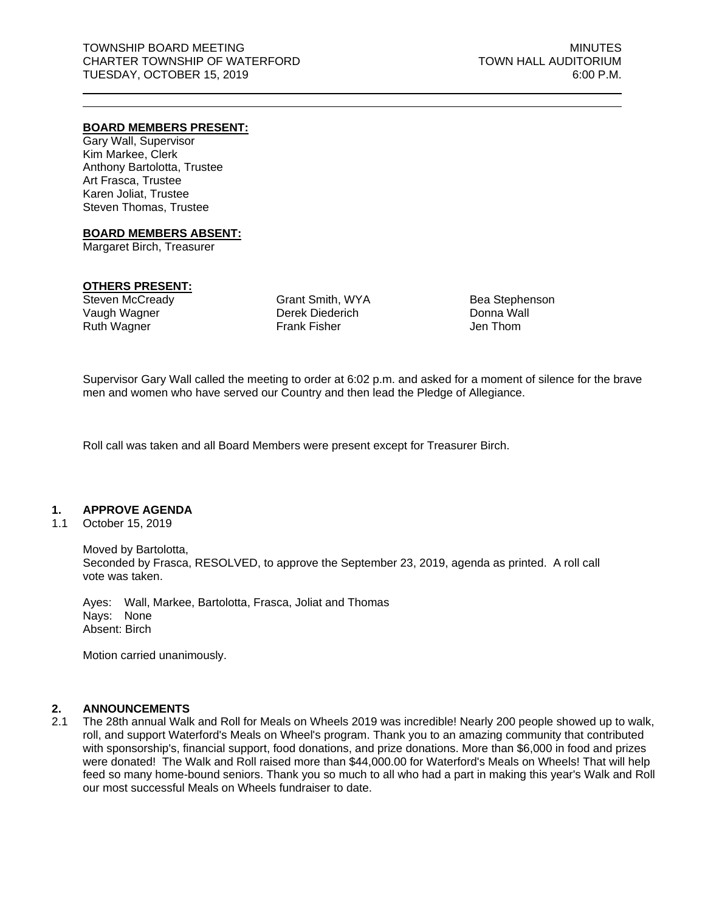## **BOARD MEMBERS PRESENT:**

Gary Wall, Supervisor Kim Markee, Clerk Anthony Bartolotta, Trustee Art Frasca, Trustee Karen Joliat, Trustee Steven Thomas, Trustee

## **BOARD MEMBERS ABSENT:**

Margaret Birch, Treasurer

# **OTHERS PRESENT:**

Steven McCready Vaugh Wagner Ruth Wagner

Grant Smith, WYA Derek Diederich Frank Fisher

Bea Stephenson Donna Wall Jen Thom

Supervisor Gary Wall called the meeting to order at 6:02 p.m. and asked for a moment of silence for the brave men and women who have served our Country and then lead the Pledge of Allegiance.

Roll call was taken and all Board Members were present except for Treasurer Birch.

# **1. APPROVE AGENDA**

1.1 October 15, 2019

Moved by Bartolotta, Seconded by Frasca, RESOLVED, to approve the September 23, 2019, agenda as printed. A roll call vote was taken.

Ayes: Wall, Markee, Bartolotta, Frasca, Joliat and Thomas Nays: None Absent: Birch

Motion carried unanimously.

#### **2. ANNOUNCEMENTS**

2.1 The 28th annual Walk and Roll for Meals on Wheels 2019 was incredible! Nearly 200 people showed up to walk, roll, and support Waterford's Meals on Wheel's program. Thank you to an amazing community that contributed with sponsorship's, financial support, food donations, and prize donations. More than \$6,000 in food and prizes were donated! The Walk and Roll raised more than \$44,000.00 for Waterford's Meals on Wheels! That will help feed so many home-bound seniors. Thank you so much to all who had a part in making this year's Walk and Roll our most successful Meals on Wheels fundraiser to date.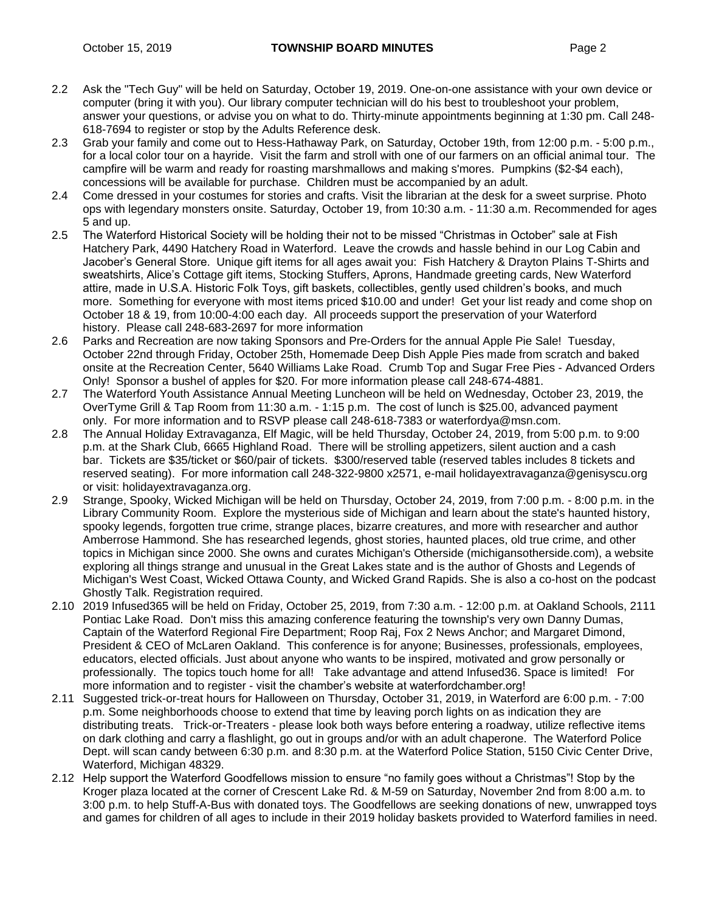- 2.2 Ask the "Tech Guy" will be held on Saturday, October 19, 2019. One-on-one assistance with your own device or computer (bring it with you). Our library computer technician will do his best to troubleshoot your problem, answer your questions, or advise you on what to do. Thirty-minute appointments beginning at 1:30 pm. Call 248- 618-7694 to register or stop by the Adults Reference desk.
- 2.3 Grab your family and come out to Hess-Hathaway Park, on Saturday, October 19th, from 12:00 p.m. 5:00 p.m., for a local color tour on a hayride. Visit the farm and stroll with one of our farmers on an official animal tour. The campfire will be warm and ready for roasting marshmallows and making s'mores. Pumpkins (\$2-\$4 each), concessions will be available for purchase. Children must be accompanied by an adult.
- 2.4 Come dressed in your costumes for stories and crafts. Visit the librarian at the desk for a sweet surprise. Photo ops with legendary monsters onsite. Saturday, October 19, from 10:30 a.m. - 11:30 a.m. Recommended for ages 5 and up.
- 2.5 The Waterford Historical Society will be holding their not to be missed "Christmas in October" sale at Fish Hatchery Park, 4490 Hatchery Road in Waterford. Leave the crowds and hassle behind in our Log Cabin and Jacober's General Store. Unique gift items for all ages await you: Fish Hatchery & Drayton Plains T-Shirts and sweatshirts, Alice's Cottage gift items, Stocking Stuffers, Aprons, Handmade greeting cards, New Waterford attire, made in U.S.A. Historic Folk Toys, gift baskets, collectibles, gently used children's books, and much more. Something for everyone with most items priced \$10.00 and under! Get your list ready and come shop on October 18 & 19, from 10:00-4:00 each day. All proceeds support the preservation of your Waterford history. Please call 248-683-2697 for more information
- 2.6 Parks and Recreation are now taking Sponsors and Pre-Orders for the annual Apple Pie Sale! Tuesday, October 22nd through Friday, October 25th, Homemade Deep Dish Apple Pies made from scratch and baked onsite at the Recreation Center, 5640 Williams Lake Road. Crumb Top and Sugar Free Pies - Advanced Orders Only! Sponsor a bushel of apples for \$20. For more information please call 248-674-4881.
- 2.7 The Waterford Youth Assistance Annual Meeting Luncheon will be held on Wednesday, October 23, 2019, the OverTyme Grill & Tap Room from 11:30 a.m. - 1:15 p.m. The cost of lunch is \$25.00, advanced payment only. For more information and to RSVP please call 248-618-7383 or waterfordya@msn.com.
- 2.8 The Annual Holiday Extravaganza, Elf Magic, will be held Thursday, October 24, 2019, from 5:00 p.m. to 9:00 p.m. at the Shark Club, 6665 Highland Road. There will be strolling appetizers, silent auction and a cash bar. Tickets are \$35/ticket or \$60/pair of tickets. \$300/reserved table (reserved tables includes 8 tickets and reserved seating). For more information call 248-322-9800 x2571, e-mail holidayextravaganza@genisyscu.org or visit: holidayextravaganza.org.
- 2.9 Strange, Spooky, Wicked Michigan will be held on Thursday, October 24, 2019, from 7:00 p.m. 8:00 p.m. in the Library Community Room. Explore the mysterious side of Michigan and learn about the state's haunted history, spooky legends, forgotten true crime, strange places, bizarre creatures, and more with researcher and author Amberrose Hammond. She has researched legends, ghost stories, haunted places, old true crime, and other topics in Michigan since 2000. She owns and curates Michigan's Otherside (michigansotherside.com), a website exploring all things strange and unusual in the Great Lakes state and is the author of Ghosts and Legends of Michigan's West Coast, Wicked Ottawa County, and Wicked Grand Rapids. She is also a co-host on the podcast Ghostly Talk. Registration required.
- 2.10 2019 Infused365 will be held on Friday, October 25, 2019, from 7:30 a.m. 12:00 p.m. at Oakland Schools, 2111 Pontiac Lake Road. Don't miss this amazing conference featuring the township's very own Danny Dumas, Captain of the Waterford Regional Fire Department; Roop Raj, Fox 2 News Anchor; and Margaret Dimond, President & CEO of McLaren Oakland. This conference is for anyone; Businesses, professionals, employees, educators, elected officials. Just about anyone who wants to be inspired, motivated and grow personally or professionally. The topics touch home for all! Take advantage and attend Infused36. Space is limited! For more information and to register - visit the chamber's website at waterfordchamber.org!
- 2.11 Suggested trick-or-treat hours for Halloween on Thursday, October 31, 2019, in Waterford are 6:00 p.m. 7:00 p.m. Some neighborhoods choose to extend that time by leaving porch lights on as indication they are distributing treats. Trick-or-Treaters - please look both ways before entering a roadway, utilize reflective items on dark clothing and carry a flashlight, go out in groups and/or with an adult chaperone. The Waterford Police Dept. will scan candy between 6:30 p.m. and 8:30 p.m. at the Waterford Police Station, 5150 Civic Center Drive, Waterford, Michigan 48329.
- 2.12 Help support the Waterford Goodfellows mission to ensure "no family goes without a Christmas"! Stop by the Kroger plaza located at the corner of Crescent Lake Rd. & M-59 on Saturday, November 2nd from 8:00 a.m. to 3:00 p.m. to help Stuff-A-Bus with donated toys. The Goodfellows are seeking donations of new, unwrapped toys and games for children of all ages to include in their 2019 holiday baskets provided to Waterford families in need.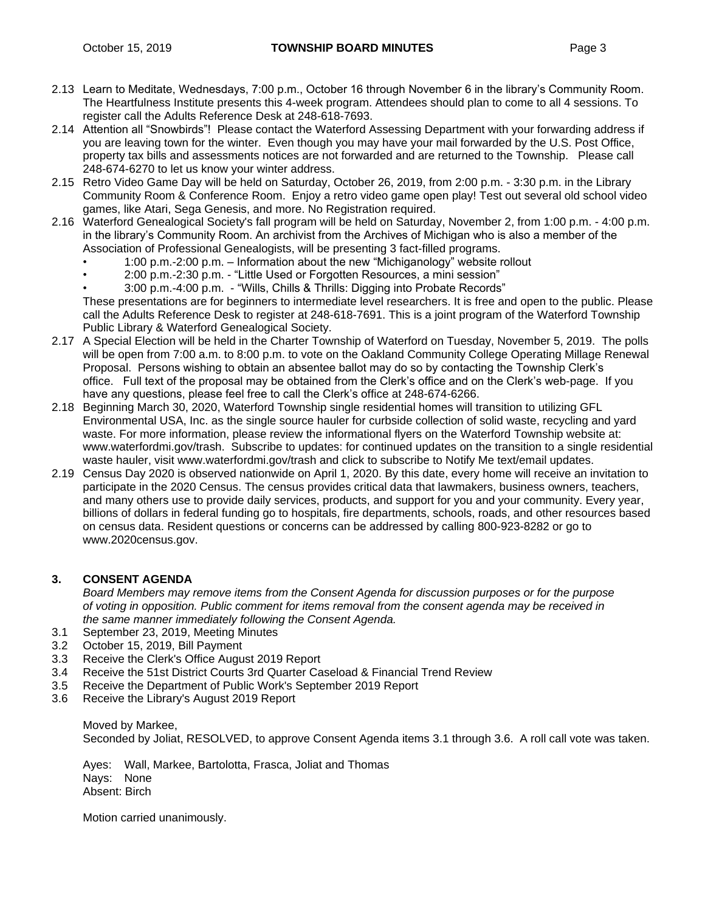- 2.13 Learn to Meditate, Wednesdays, 7:00 p.m., October 16 through November 6 in the library's Community Room. The Heartfulness Institute presents this 4-week program. Attendees should plan to come to all 4 sessions. To register call the Adults Reference Desk at 248-618-7693.
- 2.14 Attention all "Snowbirds"! Please contact the Waterford Assessing Department with your forwarding address if you are leaving town for the winter. Even though you may have your mail forwarded by the U.S. Post Office, property tax bills and assessments notices are not forwarded and are returned to the Township. Please call 248-674-6270 to let us know your winter address.
- 2.15 Retro Video Game Day will be held on Saturday, October 26, 2019, from 2:00 p.m. 3:30 p.m. in the Library Community Room & Conference Room. Enjoy a retro video game open play! Test out several old school video games, like Atari, Sega Genesis, and more. No Registration required.
- 2.16 Waterford Genealogical Society's fall program will be held on Saturday, November 2, from 1:00 p.m. 4:00 p.m. in the library's Community Room. An archivist from the Archives of Michigan who is also a member of the Association of Professional Genealogists, will be presenting 3 fact-filled programs.
	- 1:00 p.m.-2:00 p.m. Information about the new "Michiganology" website rollout
	- 2:00 p.m.-2:30 p.m. "Little Used or Forgotten Resources, a mini session"

• 3:00 p.m.-4:00 p.m. - "Wills, Chills & Thrills: Digging into Probate Records" These presentations are for beginners to intermediate level researchers. It is free and open to the public. Please call the Adults Reference Desk to register at 248-618-7691. This is a joint program of the Waterford Township Public Library & Waterford Genealogical Society.

- 2.17 A Special Election will be held in the Charter Township of Waterford on Tuesday, November 5, 2019. The polls will be open from 7:00 a.m. to 8:00 p.m. to vote on the Oakland Community College Operating Millage Renewal Proposal. Persons wishing to obtain an absentee ballot may do so by contacting the Township Clerk's office. Full text of the proposal may be obtained from the Clerk's office and on the Clerk's web-page. If you have any questions, please feel free to call the Clerk's office at 248-674-6266.
- 2.18 Beginning March 30, 2020, Waterford Township single residential homes will transition to utilizing GFL Environmental USA, Inc. as the single source hauler for curbside collection of solid waste, recycling and yard waste. For more information, please review the informational flyers on the Waterford Township website at: www.waterfordmi.gov/trash. Subscribe to updates: for continued updates on the transition to a single residential waste hauler, visit www.waterfordmi.gov/trash and click to subscribe to Notify Me text/email updates.
- 2.19 Census Day 2020 is observed nationwide on April 1, 2020. By this date, every home will receive an invitation to participate in the 2020 Census. The census provides critical data that lawmakers, business owners, teachers, and many others use to provide daily services, products, and support for you and your community. Every year, billions of dollars in federal funding go to hospitals, fire departments, schools, roads, and other resources based on census data. Resident questions or concerns can be addressed by calling 800-923-8282 or go to www.2020census.gov.

# **3. CONSENT AGENDA**

*Board Members may remove items from the Consent Agenda for discussion purposes or for the purpose of voting in opposition. Public comment for items removal from the consent agenda may be received in the same manner immediately following the Consent Agenda.*

- 3.1 September 23, 2019, Meeting Minutes
- 3.2 October 15, 2019, Bill Payment
- 3.3 Receive the Clerk's Office August 2019 Report
- 3.4 Receive the 51st District Courts 3rd Quarter Caseload & Financial Trend Review
- 3.5 Receive the Department of Public Work's September 2019 Report
- 3.6 Receive the Library's August 2019 Report

Moved by Markee, Seconded by Joliat, RESOLVED, to approve Consent Agenda items 3.1 through 3.6. A roll call vote was taken.

Ayes: Wall, Markee, Bartolotta, Frasca, Joliat and Thomas Nays: None Absent: Birch

Motion carried unanimously.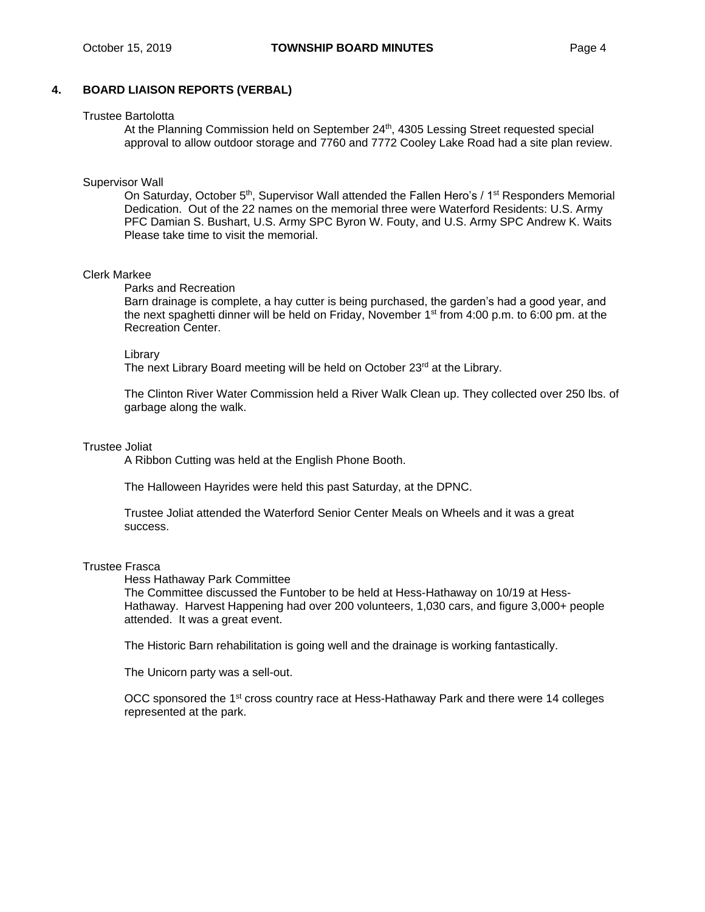# **4. BOARD LIAISON REPORTS (VERBAL)**

#### Trustee Bartolotta

At the Planning Commission held on September 24<sup>th</sup>, 4305 Lessing Street requested special approval to allow outdoor storage and 7760 and 7772 Cooley Lake Road had a site plan review.

## Supervisor Wall

On Saturday, October 5<sup>th</sup>, Supervisor Wall attended the Fallen Hero's / 1<sup>st</sup> Responders Memorial Dedication. Out of the 22 names on the memorial three were Waterford Residents: U.S. Army PFC Damian S. Bushart, U.S. Army SPC Byron W. Fouty, and U.S. Army SPC Andrew K. Waits Please take time to visit the memorial.

## Clerk Markee

#### Parks and Recreation

Barn drainage is complete, a hay cutter is being purchased, the garden's had a good year, and the next spaghetti dinner will be held on Friday, November  $1<sup>st</sup>$  from 4:00 p.m. to 6:00 pm. at the Recreation Center.

#### Library

The next Library Board meeting will be held on October 23<sup>rd</sup> at the Library.

The Clinton River Water Commission held a River Walk Clean up. They collected over 250 lbs. of garbage along the walk.

#### Trustee Joliat

A Ribbon Cutting was held at the English Phone Booth.

The Halloween Hayrides were held this past Saturday, at the DPNC.

Trustee Joliat attended the Waterford Senior Center Meals on Wheels and it was a great success.

#### Trustee Frasca

Hess Hathaway Park Committee

The Committee discussed the Funtober to be held at Hess-Hathaway on 10/19 at Hess-Hathaway. Harvest Happening had over 200 volunteers, 1,030 cars, and figure 3,000+ people attended. It was a great event.

The Historic Barn rehabilitation is going well and the drainage is working fantastically.

The Unicorn party was a sell-out.

OCC sponsored the 1<sup>st</sup> cross country race at Hess-Hathaway Park and there were 14 colleges represented at the park.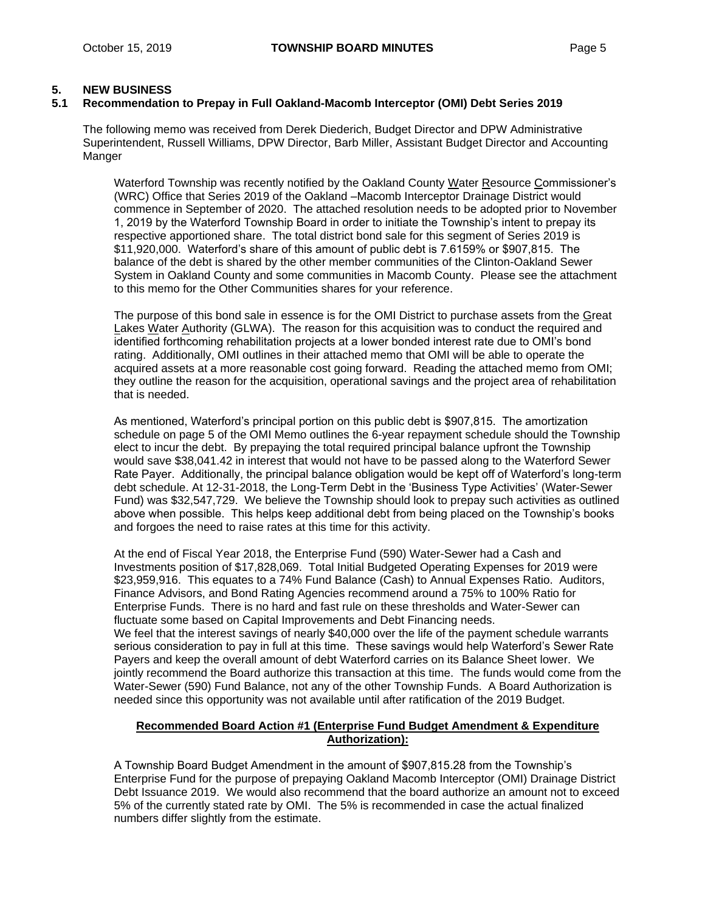# **5. NEW BUSINESS**

## **5.1 Recommendation to Prepay in Full Oakland-Macomb Interceptor (OMI) Debt Series 2019**

The following memo was received from Derek Diederich, Budget Director and DPW Administrative Superintendent, Russell Williams, DPW Director, Barb Miller, Assistant Budget Director and Accounting **Manger** 

Waterford Township was recently notified by the Oakland County Water Resource Commissioner's (WRC) Office that Series 2019 of the Oakland –Macomb Interceptor Drainage District would commence in September of 2020. The attached resolution needs to be adopted prior to November 1, 2019 by the Waterford Township Board in order to initiate the Township's intent to prepay its respective apportioned share. The total district bond sale for this segment of Series 2019 is \$11,920,000. Waterford's share of this amount of public debt is 7.6159% or \$907,815. The balance of the debt is shared by the other member communities of the Clinton-Oakland Sewer System in Oakland County and some communities in Macomb County. Please see the attachment to this memo for the Other Communities shares for your reference.

The purpose of this bond sale in essence is for the OMI District to purchase assets from the Great Lakes Water Authority (GLWA). The reason for this acquisition was to conduct the required and identified forthcoming rehabilitation projects at a lower bonded interest rate due to OMI's bond rating. Additionally, OMI outlines in their attached memo that OMI will be able to operate the acquired assets at a more reasonable cost going forward. Reading the attached memo from OMI; they outline the reason for the acquisition, operational savings and the project area of rehabilitation that is needed.

As mentioned, Waterford's principal portion on this public debt is \$907,815. The amortization schedule on page 5 of the OMI Memo outlines the 6-year repayment schedule should the Township elect to incur the debt. By prepaying the total required principal balance upfront the Township would save \$38,041.42 in interest that would not have to be passed along to the Waterford Sewer Rate Payer. Additionally, the principal balance obligation would be kept off of Waterford's long-term debt schedule. At 12-31-2018, the Long-Term Debt in the 'Business Type Activities' (Water-Sewer Fund) was \$32,547,729. We believe the Township should look to prepay such activities as outlined above when possible. This helps keep additional debt from being placed on the Township's books and forgoes the need to raise rates at this time for this activity.

At the end of Fiscal Year 2018, the Enterprise Fund (590) Water-Sewer had a Cash and Investments position of \$17,828,069. Total Initial Budgeted Operating Expenses for 2019 were \$23,959,916. This equates to a 74% Fund Balance (Cash) to Annual Expenses Ratio. Auditors, Finance Advisors, and Bond Rating Agencies recommend around a 75% to 100% Ratio for Enterprise Funds. There is no hard and fast rule on these thresholds and Water-Sewer can fluctuate some based on Capital Improvements and Debt Financing needs.

We feel that the interest savings of nearly \$40,000 over the life of the payment schedule warrants serious consideration to pay in full at this time. These savings would help Waterford's Sewer Rate Payers and keep the overall amount of debt Waterford carries on its Balance Sheet lower. We jointly recommend the Board authorize this transaction at this time. The funds would come from the Water-Sewer (590) Fund Balance, not any of the other Township Funds. A Board Authorization is needed since this opportunity was not available until after ratification of the 2019 Budget.

# **Recommended Board Action #1 (Enterprise Fund Budget Amendment & Expenditure Authorization):**

A Township Board Budget Amendment in the amount of \$907,815.28 from the Township's Enterprise Fund for the purpose of prepaying Oakland Macomb Interceptor (OMI) Drainage District Debt Issuance 2019. We would also recommend that the board authorize an amount not to exceed 5% of the currently stated rate by OMI. The 5% is recommended in case the actual finalized numbers differ slightly from the estimate.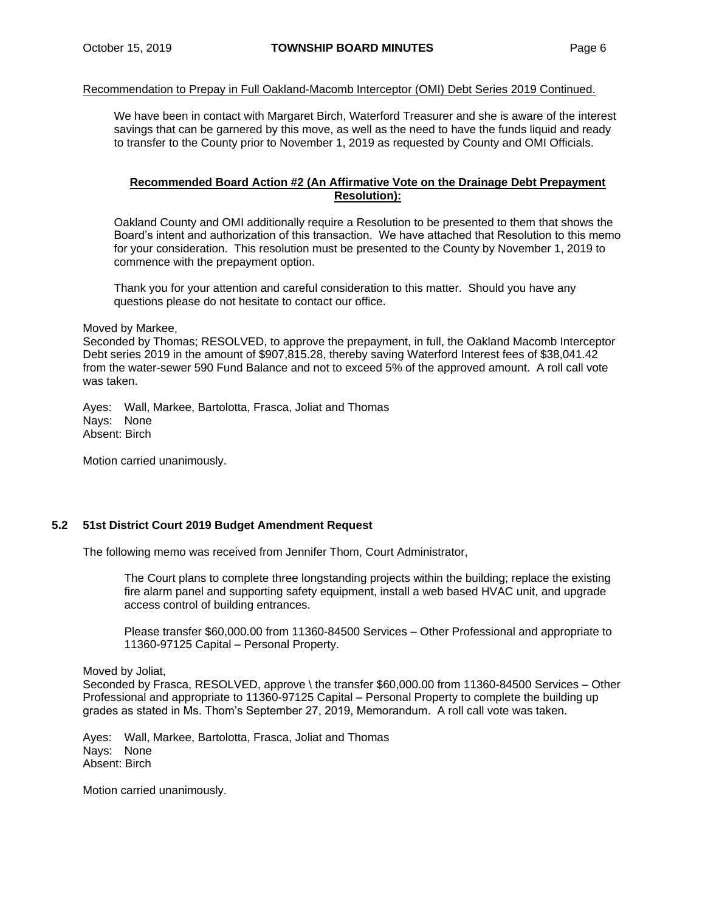#### Recommendation to Prepay in Full Oakland-Macomb Interceptor (OMI) Debt Series 2019 Continued.

We have been in contact with Margaret Birch, Waterford Treasurer and she is aware of the interest savings that can be garnered by this move, as well as the need to have the funds liquid and ready to transfer to the County prior to November 1, 2019 as requested by County and OMI Officials.

## **Recommended Board Action #2 (An Affirmative Vote on the Drainage Debt Prepayment Resolution):**

Oakland County and OMI additionally require a Resolution to be presented to them that shows the Board's intent and authorization of this transaction. We have attached that Resolution to this memo for your consideration. This resolution must be presented to the County by November 1, 2019 to commence with the prepayment option.

Thank you for your attention and careful consideration to this matter. Should you have any questions please do not hesitate to contact our office.

#### Moved by Markee,

Seconded by Thomas; RESOLVED, to approve the prepayment, in full, the Oakland Macomb Interceptor Debt series 2019 in the amount of \$907,815.28, thereby saving Waterford Interest fees of \$38,041.42 from the water-sewer 590 Fund Balance and not to exceed 5% of the approved amount. A roll call vote was taken.

Ayes: Wall, Markee, Bartolotta, Frasca, Joliat and Thomas Nays: None Absent: Birch

Motion carried unanimously.

# **5.2 51st District Court 2019 Budget Amendment Request**

The following memo was received from Jennifer Thom, Court Administrator,

The Court plans to complete three longstanding projects within the building; replace the existing fire alarm panel and supporting safety equipment, install a web based HVAC unit, and upgrade access control of building entrances.

Please transfer \$60,000.00 from 11360-84500 Services – Other Professional and appropriate to 11360-97125 Capital – Personal Property.

Moved by Joliat,

Seconded by Frasca, RESOLVED, approve \ the transfer \$60,000.00 from 11360-84500 Services – Other Professional and appropriate to 11360-97125 Capital – Personal Property to complete the building up grades as stated in Ms. Thom's September 27, 2019, Memorandum. A roll call vote was taken.

Ayes: Wall, Markee, Bartolotta, Frasca, Joliat and Thomas Nays: None Absent: Birch

Motion carried unanimously.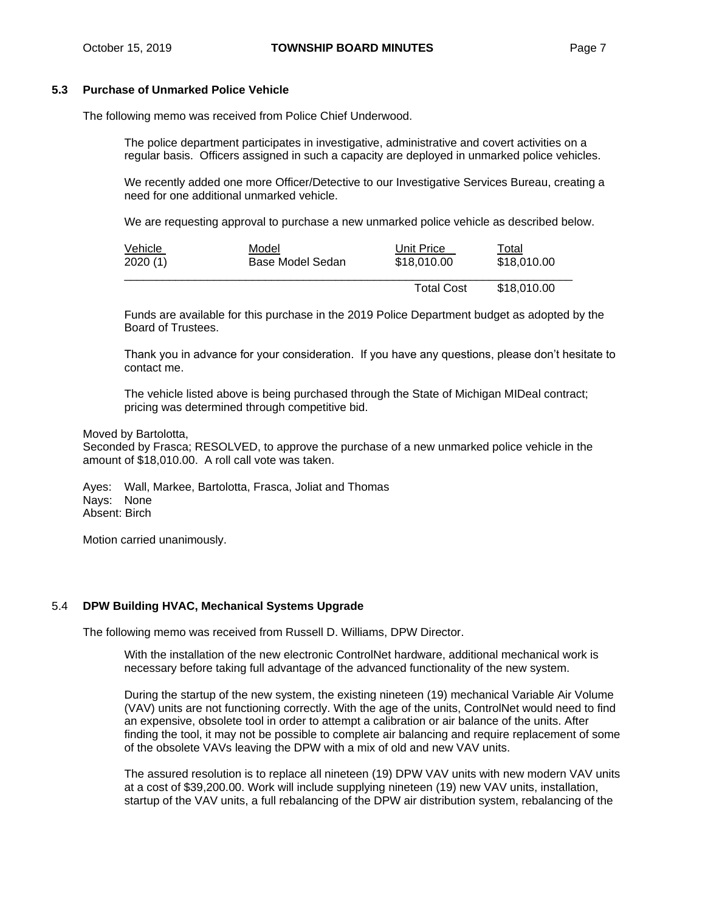## **5.3 Purchase of Unmarked Police Vehicle**

The following memo was received from Police Chief Underwood.

The police department participates in investigative, administrative and covert activities on a regular basis. Officers assigned in such a capacity are deployed in unmarked police vehicles.

We recently added one more Officer/Detective to our Investigative Services Bureau, creating a need for one additional unmarked vehicle.

We are requesting approval to purchase a new unmarked police vehicle as described below.

| Vehicle | Model            | Unit Price        | Total       |
|---------|------------------|-------------------|-------------|
| 2020(1) | Base Model Sedan | \$18,010.00       | \$18,010.00 |
|         |                  | <b>Total Cost</b> | \$18,010.00 |

Funds are available for this purchase in the 2019 Police Department budget as adopted by the Board of Trustees.

Thank you in advance for your consideration. If you have any questions, please don't hesitate to contact me.

The vehicle listed above is being purchased through the State of Michigan MIDeal contract; pricing was determined through competitive bid.

Moved by Bartolotta,

Seconded by Frasca; RESOLVED, to approve the purchase of a new unmarked police vehicle in the amount of \$18,010.00. A roll call vote was taken.

Ayes: Wall, Markee, Bartolotta, Frasca, Joliat and Thomas Nays: None Absent: Birch

Motion carried unanimously.

#### 5.4 **DPW Building HVAC, Mechanical Systems Upgrade**

The following memo was received from Russell D. Williams, DPW Director.

With the installation of the new electronic ControlNet hardware, additional mechanical work is necessary before taking full advantage of the advanced functionality of the new system.

During the startup of the new system, the existing nineteen (19) mechanical Variable Air Volume (VAV) units are not functioning correctly. With the age of the units, ControlNet would need to find an expensive, obsolete tool in order to attempt a calibration or air balance of the units. After finding the tool, it may not be possible to complete air balancing and require replacement of some of the obsolete VAVs leaving the DPW with a mix of old and new VAV units.

The assured resolution is to replace all nineteen (19) DPW VAV units with new modern VAV units at a cost of \$39,200.00. Work will include supplying nineteen (19) new VAV units, installation, startup of the VAV units, a full rebalancing of the DPW air distribution system, rebalancing of the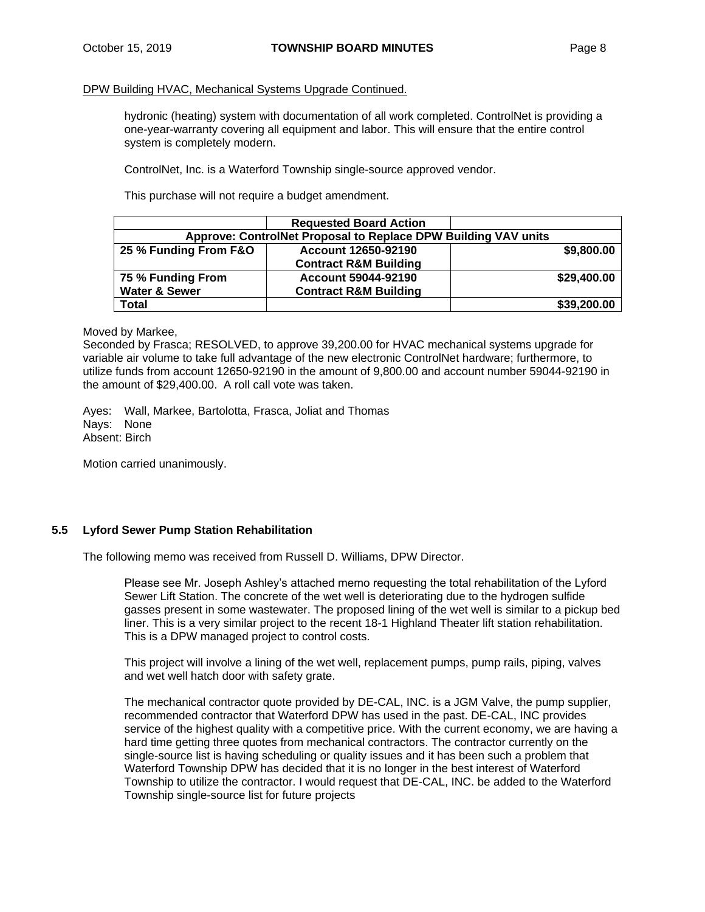## DPW Building HVAC, Mechanical Systems Upgrade Continued.

hydronic (heating) system with documentation of all work completed. ControlNet is providing a one-year-warranty covering all equipment and labor. This will ensure that the entire control system is completely modern.

ControlNet, Inc. is a Waterford Township single-source approved vendor.

This purchase will not require a budget amendment.

|                          | <b>Requested Board Action</b>                                  |             |
|--------------------------|----------------------------------------------------------------|-------------|
|                          | Approve: ControlNet Proposal to Replace DPW Building VAV units |             |
| 25 % Funding From F&O    | Account 12650-92190                                            | \$9,800.00  |
|                          | <b>Contract R&amp;M Building</b>                               |             |
| 75 % Funding From        | <b>Account 59044-92190</b>                                     | \$29,400.00 |
| <b>Water &amp; Sewer</b> | <b>Contract R&amp;M Building</b>                               |             |
| Total                    |                                                                | \$39,200.00 |

#### Moved by Markee,

Seconded by Frasca; RESOLVED, to approve 39,200.00 for HVAC mechanical systems upgrade for variable air volume to take full advantage of the new electronic ControlNet hardware; furthermore, to utilize funds from account 12650-92190 in the amount of 9,800.00 and account number 59044-92190 in the amount of \$29,400.00. A roll call vote was taken.

Ayes: Wall, Markee, Bartolotta, Frasca, Joliat and Thomas Nays: None Absent: Birch

Motion carried unanimously.

# **5.5 Lyford Sewer Pump Station Rehabilitation**

The following memo was received from Russell D. Williams, DPW Director.

Please see Mr. Joseph Ashley's attached memo requesting the total rehabilitation of the Lyford Sewer Lift Station. The concrete of the wet well is deteriorating due to the hydrogen sulfide gasses present in some wastewater. The proposed lining of the wet well is similar to a pickup bed liner. This is a very similar project to the recent 18-1 Highland Theater lift station rehabilitation. This is a DPW managed project to control costs.

This project will involve a lining of the wet well, replacement pumps, pump rails, piping, valves and wet well hatch door with safety grate.

The mechanical contractor quote provided by DE-CAL, INC. is a JGM Valve, the pump supplier, recommended contractor that Waterford DPW has used in the past. DE-CAL, INC provides service of the highest quality with a competitive price. With the current economy, we are having a hard time getting three quotes from mechanical contractors. The contractor currently on the single-source list is having scheduling or quality issues and it has been such a problem that Waterford Township DPW has decided that it is no longer in the best interest of Waterford Township to utilize the contractor. I would request that DE-CAL, INC. be added to the Waterford Township single-source list for future projects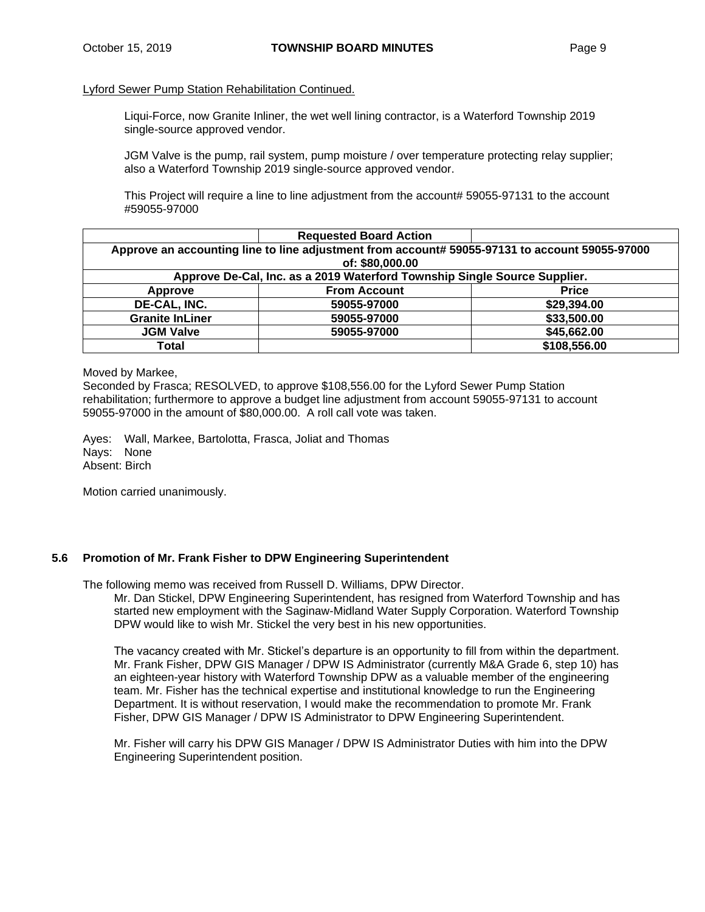#### Lyford Sewer Pump Station Rehabilitation Continued.

Liqui-Force, now Granite Inliner, the wet well lining contractor, is a Waterford Township 2019 single-source approved vendor.

JGM Valve is the pump, rail system, pump moisture / over temperature protecting relay supplier; also a Waterford Township 2019 single-source approved vendor.

This Project will require a line to line adjustment from the account# 59055-97131 to the account #59055-97000

|                        | <b>Requested Board Action</b>                                                                  |              |
|------------------------|------------------------------------------------------------------------------------------------|--------------|
|                        | Approve an accounting line to line adjustment from account# 59055-97131 to account 59055-97000 |              |
|                        | of: \$80,000.00                                                                                |              |
|                        | Approve De-Cal, Inc. as a 2019 Waterford Township Single Source Supplier.                      |              |
| Approve                | <b>From Account</b>                                                                            | <b>Price</b> |
| DE-CAL, INC.           | 59055-97000                                                                                    | \$29,394.00  |
| <b>Granite InLiner</b> | 59055-97000                                                                                    | \$33,500.00  |
| <b>JGM Valve</b>       | 59055-97000                                                                                    | \$45,662.00  |
| Total                  |                                                                                                | \$108,556.00 |

Moved by Markee,

Seconded by Frasca; RESOLVED, to approve \$108,556.00 for the Lyford Sewer Pump Station rehabilitation; furthermore to approve a budget line adjustment from account 59055-97131 to account 59055-97000 in the amount of \$80,000.00. A roll call vote was taken.

Ayes: Wall, Markee, Bartolotta, Frasca, Joliat and Thomas Nays: None Absent: Birch

Motion carried unanimously.

#### **5.6 Promotion of Mr. Frank Fisher to DPW Engineering Superintendent**

The following memo was received from Russell D. Williams, DPW Director.

Mr. Dan Stickel, DPW Engineering Superintendent, has resigned from Waterford Township and has started new employment with the Saginaw-Midland Water Supply Corporation. Waterford Township DPW would like to wish Mr. Stickel the very best in his new opportunities.

The vacancy created with Mr. Stickel's departure is an opportunity to fill from within the department. Mr. Frank Fisher, DPW GIS Manager / DPW IS Administrator (currently M&A Grade 6, step 10) has an eighteen-year history with Waterford Township DPW as a valuable member of the engineering team. Mr. Fisher has the technical expertise and institutional knowledge to run the Engineering Department. It is without reservation, I would make the recommendation to promote Mr. Frank Fisher, DPW GIS Manager / DPW IS Administrator to DPW Engineering Superintendent.

Mr. Fisher will carry his DPW GIS Manager / DPW IS Administrator Duties with him into the DPW Engineering Superintendent position.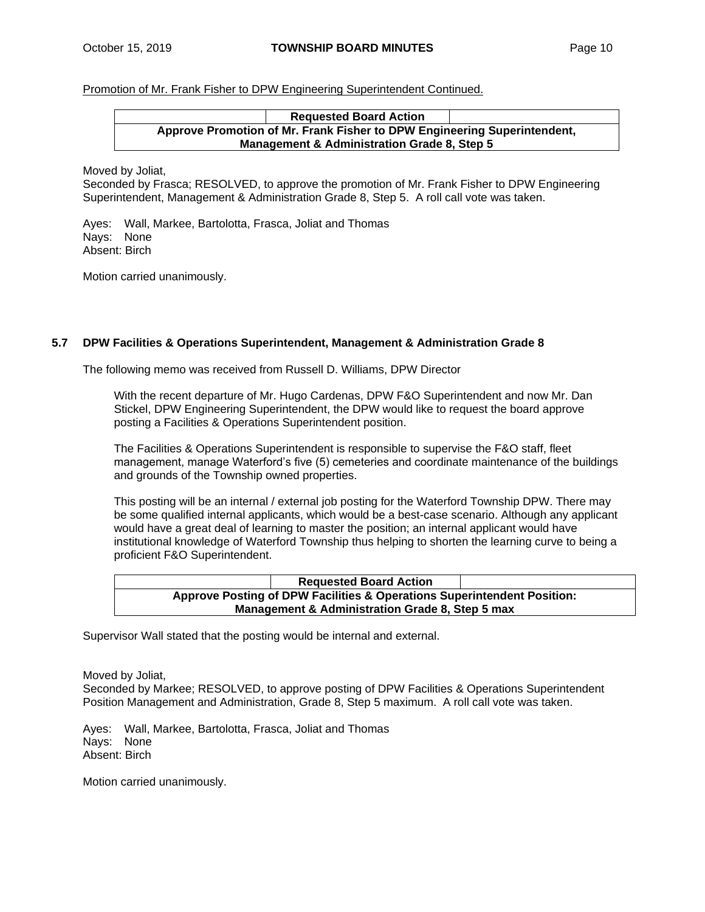## Promotion of Mr. Frank Fisher to DPW Engineering Superintendent Continued.

#### **Requested Board Action Approve Promotion of Mr. Frank Fisher to DPW Engineering Superintendent, Management & Administration Grade 8, Step 5**

Moved by Joliat,

Seconded by Frasca; RESOLVED, to approve the promotion of Mr. Frank Fisher to DPW Engineering Superintendent, Management & Administration Grade 8, Step 5. A roll call vote was taken.

Ayes: Wall, Markee, Bartolotta, Frasca, Joliat and Thomas Nays: None Absent: Birch

Motion carried unanimously.

#### **5.7 DPW Facilities & Operations Superintendent, Management & Administration Grade 8**

The following memo was received from Russell D. Williams, DPW Director

With the recent departure of Mr. Hugo Cardenas, DPW F&O Superintendent and now Mr. Dan Stickel, DPW Engineering Superintendent, the DPW would like to request the board approve posting a Facilities & Operations Superintendent position.

The Facilities & Operations Superintendent is responsible to supervise the F&O staff, fleet management, manage Waterford's five (5) cemeteries and coordinate maintenance of the buildings and grounds of the Township owned properties.

This posting will be an internal / external job posting for the Waterford Township DPW. There may be some qualified internal applicants, which would be a best-case scenario. Although any applicant would have a great deal of learning to master the position; an internal applicant would have institutional knowledge of Waterford Township thus helping to shorten the learning curve to being a proficient F&O Superintendent.

|                                                                         | <b>Requested Board Action</b> |  |  |  |  |
|-------------------------------------------------------------------------|-------------------------------|--|--|--|--|
| Approve Posting of DPW Facilities & Operations Superintendent Position: |                               |  |  |  |  |
| <b>Management &amp; Administration Grade 8, Step 5 max</b>              |                               |  |  |  |  |

Supervisor Wall stated that the posting would be internal and external.

Moved by Joliat,

Seconded by Markee; RESOLVED, to approve posting of DPW Facilities & Operations Superintendent Position Management and Administration, Grade 8, Step 5 maximum. A roll call vote was taken.

Ayes: Wall, Markee, Bartolotta, Frasca, Joliat and Thomas Nays: None Absent: Birch

Motion carried unanimously.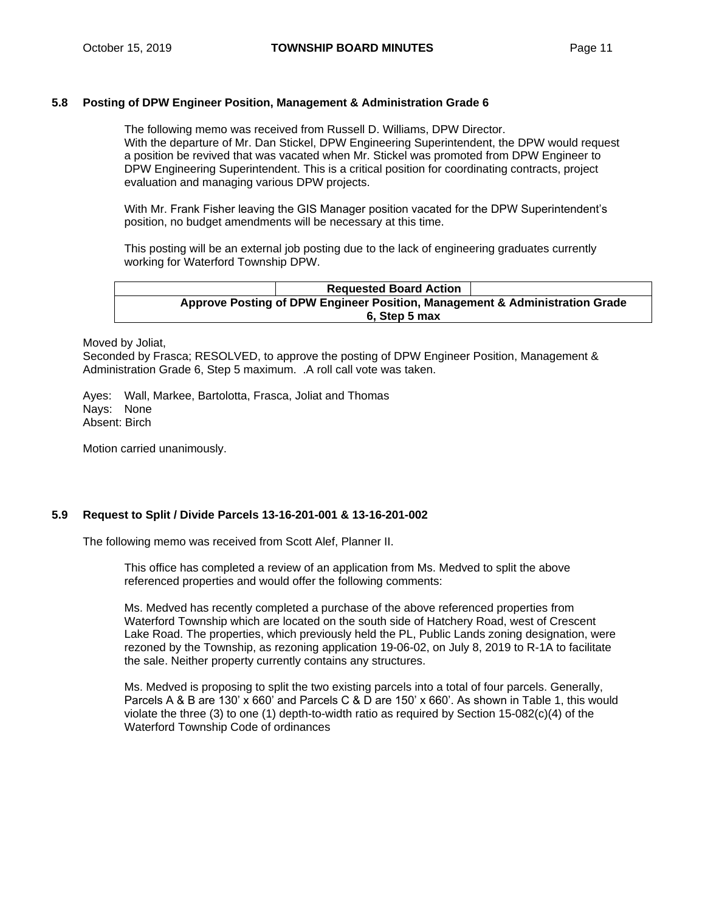#### **5.8 Posting of DPW Engineer Position, Management & Administration Grade 6**

The following memo was received from Russell D. Williams, DPW Director. With the departure of Mr. Dan Stickel, DPW Engineering Superintendent, the DPW would request a position be revived that was vacated when Mr. Stickel was promoted from DPW Engineer to DPW Engineering Superintendent. This is a critical position for coordinating contracts, project evaluation and managing various DPW projects.

With Mr. Frank Fisher leaving the GIS Manager position vacated for the DPW Superintendent's position, no budget amendments will be necessary at this time.

This posting will be an external job posting due to the lack of engineering graduates currently working for Waterford Township DPW.

|                                                                             | <b>Requested Board Action</b> |  |  |  |
|-----------------------------------------------------------------------------|-------------------------------|--|--|--|
| Approve Posting of DPW Engineer Position, Management & Administration Grade |                               |  |  |  |
|                                                                             | 6. Step 5 max                 |  |  |  |

Moved by Joliat,

Seconded by Frasca; RESOLVED, to approve the posting of DPW Engineer Position, Management & Administration Grade 6, Step 5 maximum. .A roll call vote was taken.

Ayes: Wall, Markee, Bartolotta, Frasca, Joliat and Thomas Nays: None Absent: Birch

Motion carried unanimously.

#### **5.9 Request to Split / Divide Parcels 13-16-201-001 & 13-16-201-002**

The following memo was received from Scott Alef, Planner II.

This office has completed a review of an application from Ms. Medved to split the above referenced properties and would offer the following comments:

Ms. Medved has recently completed a purchase of the above referenced properties from Waterford Township which are located on the south side of Hatchery Road, west of Crescent Lake Road. The properties, which previously held the PL, Public Lands zoning designation, were rezoned by the Township, as rezoning application 19-06-02, on July 8, 2019 to R-1A to facilitate the sale. Neither property currently contains any structures.

Ms. Medved is proposing to split the two existing parcels into a total of four parcels. Generally, Parcels A & B are 130' x 660' and Parcels C & D are 150' x 660'. As shown i[n Table 1,](#page-11-0) this would violate the three  $(3)$  to one  $(1)$  depth-to-width ratio as required by Section 15-082 $(c)(4)$  of the Waterford Township Code of ordinances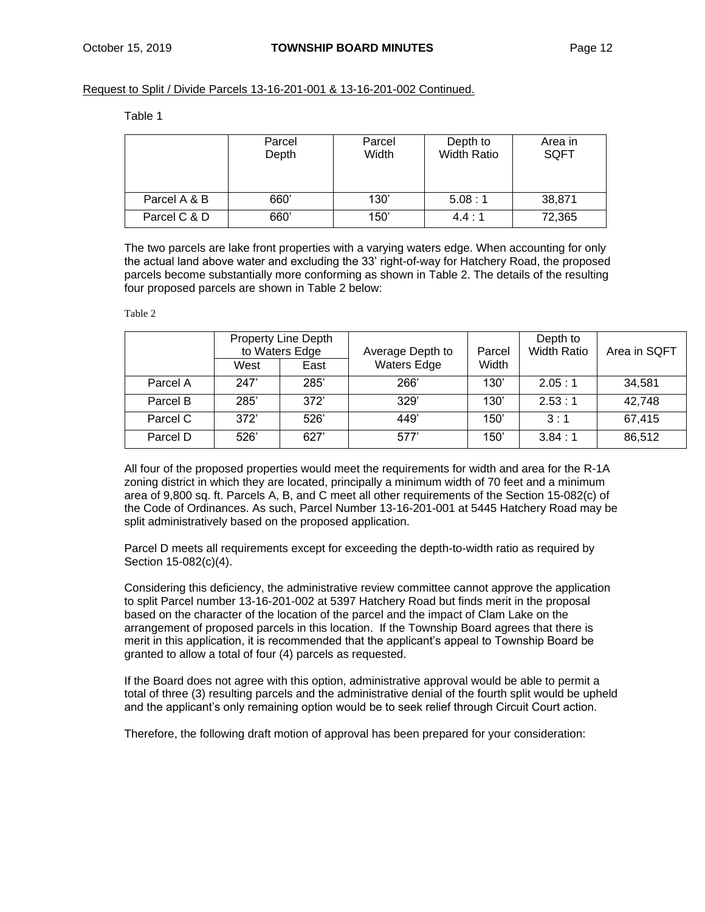## <span id="page-11-0"></span>Request to Split / Divide Parcels 13-16-201-001 & 13-16-201-002 Continued.

| - |  |  |  |  |
|---|--|--|--|--|
|---|--|--|--|--|

|              | Parcel<br>Depth | Parcel<br>Width | Depth to<br><b>Width Ratio</b> | Area in<br><b>SQFT</b> |
|--------------|-----------------|-----------------|--------------------------------|------------------------|
| Parcel A & B | 660'            | 130'            | 5.08:1                         | 38,871                 |
| Parcel C & D | 660'            | 150'            | 4.4:1                          | 72,365                 |

The two parcels are lake front properties with a varying waters edge. When accounting for only the actual land above water and excluding the 33' right-of-way for Hatchery Road, the proposed parcels become substantially more conforming as shown in [Table 2.](#page-11-1) The details of the resulting four proposed parcels are shown in [Table 2](#page-11-1) below:

#### <span id="page-11-1"></span>Table 2

|          | Property Line Depth<br>to Waters Edge |      | Average Depth to<br>Parcel |       |        | Depth to<br><b>Width Ratio</b> | Area in SQFT |
|----------|---------------------------------------|------|----------------------------|-------|--------|--------------------------------|--------------|
|          | West                                  | East | <b>Waters Edge</b>         | Width |        |                                |              |
| Parcel A | 247'                                  | 285' | 266'                       | 130'  | 2.05:1 | 34.581                         |              |
| Parcel B | 285'                                  | 372' | 329'                       | 130'  | 2.53:1 | 42,748                         |              |
| Parcel C | 372'                                  | 526' | 449'                       | 150'  | 3:1    | 67,415                         |              |
| Parcel D | 526'                                  | 627  | 577'                       | 150'  | 3.84:1 | 86,512                         |              |

All four of the proposed properties would meet the requirements for width and area for the R-1A zoning district in which they are located, principally a minimum width of 70 feet and a minimum area of 9,800 sq. ft. Parcels A, B, and C meet all other requirements of the Section 15-082(c) of the Code of Ordinances. As such, Parcel Number 13-16-201-001 at 5445 Hatchery Road may be split administratively based on the proposed application.

Parcel D meets all requirements except for exceeding the depth-to-width ratio as required by Section 15-082(c)(4).

Considering this deficiency, the administrative review committee cannot approve the application to split Parcel number 13-16-201-002 at 5397 Hatchery Road but finds merit in the proposal based on the character of the location of the parcel and the impact of Clam Lake on the arrangement of proposed parcels in this location. If the Township Board agrees that there is merit in this application, it is recommended that the applicant's appeal to Township Board be granted to allow a total of four (4) parcels as requested.

If the Board does not agree with this option, administrative approval would be able to permit a total of three (3) resulting parcels and the administrative denial of the fourth split would be upheld and the applicant's only remaining option would be to seek relief through Circuit Court action.

Therefore, the following draft motion of approval has been prepared for your consideration: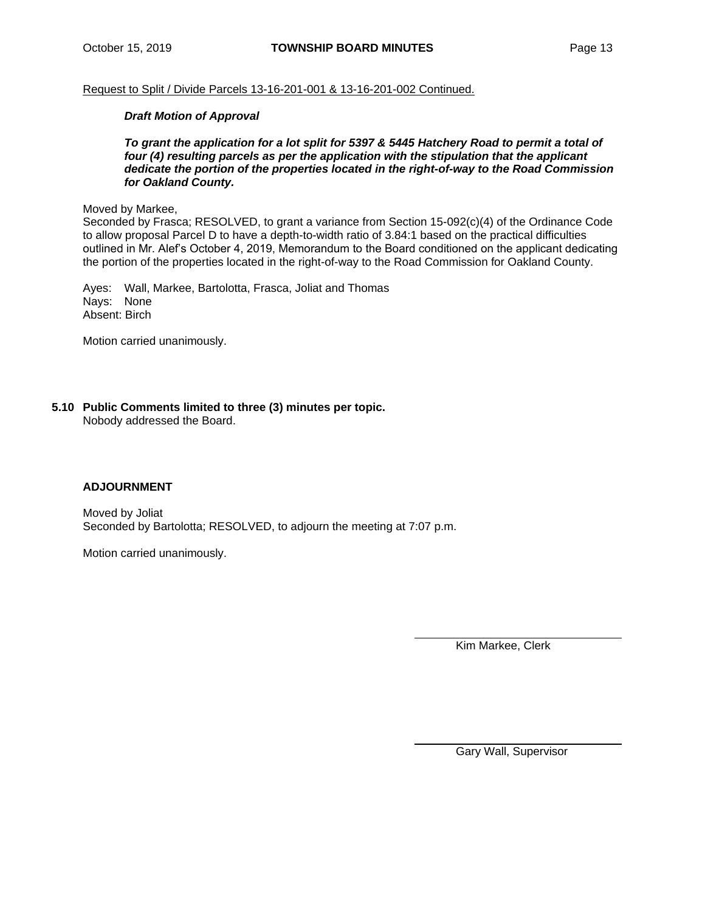Request to Split / Divide Parcels 13-16-201-001 & 13-16-201-002 Continued.

#### *Draft Motion of Approval*

*To grant the application for a lot split for 5397 & 5445 Hatchery Road to permit a total of four (4) resulting parcels as per the application with the stipulation that the applicant dedicate the portion of the properties located in the right-of-way to the Road Commission for Oakland County.* 

Moved by Markee,

Seconded by Frasca; RESOLVED, to grant a variance from Section 15-092(c)(4) of the Ordinance Code to allow proposal Parcel D to have a depth-to-width ratio of 3.84:1 based on the practical difficulties outlined in Mr. Alef's October 4, 2019, Memorandum to the Board conditioned on the applicant dedicating the portion of the properties located in the right-of-way to the Road Commission for Oakland County.

Ayes: Wall, Markee, Bartolotta, Frasca, Joliat and Thomas Nays: None Absent: Birch

Motion carried unanimously.

**5.10 Public Comments limited to three (3) minutes per topic.** Nobody addressed the Board.

#### **ADJOURNMENT**

Moved by Joliat Seconded by Bartolotta; RESOLVED, to adjourn the meeting at 7:07 p.m.

Motion carried unanimously.

Kim Markee, Clerk

Gary Wall, Supervisor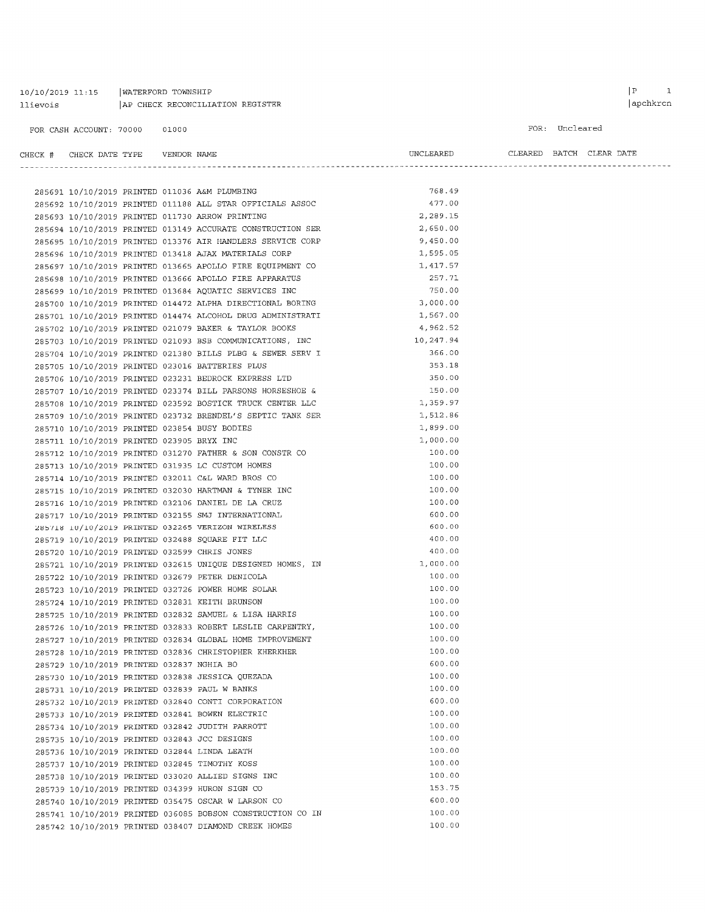## $10/10/2019$  11:15 | WATERFORD TOWNSHIP  $[{\small \texttt{AP} \texttt{CHECK} \texttt{RECONCLIATION REGISTER} }$

#### FOR CASH ACCOUNT: 70000 01000

apchkrcn

#### FOR: Uncleared

| CHECK # CHECK DATE TYPE    VENDOR NAME    |  |                                                                                                                                                                  | UNCLEARED |  | CLEARED BATCH CLEAR DATE |
|-------------------------------------------|--|------------------------------------------------------------------------------------------------------------------------------------------------------------------|-----------|--|--------------------------|
|                                           |  |                                                                                                                                                                  |           |  |                          |
|                                           |  |                                                                                                                                                                  | 768.49    |  |                          |
|                                           |  | 285691 10/10/2019 PRINTED 011036 A&M PLUMBING<br>285692 10/10/2019 PRINTED 011188 ALL STAR OFFICIALS ASSOC                                                       | 477.00    |  |                          |
|                                           |  | 285693 10/10/2019 PRINTED 011730 ARROW PRINTING                                                                                                                  | 2,289.15  |  |                          |
|                                           |  | 285694 10/10/2019 PRINTED 013149 ACCURATE CONSTRUCTION SER                                                                                                       | 2,650.00  |  |                          |
|                                           |  |                                                                                                                                                                  | 9,450.00  |  |                          |
|                                           |  | 285695 10/10/2019 PRINTED 013376 AIR HANDLERS SERVICE CORP<br>285696 10/10/2019 PRINTED 013418 AJAX MATERIALS CORP                                               | 1,595.05  |  |                          |
|                                           |  | 285697 10/10/2019 PRINTED 013665 APOLLO FIRE EQUIPMENT CO                                                                                                        | 1,417.57  |  |                          |
|                                           |  | 285698 10/10/2019 PRINTED 013666 APOLLO FIRE APPARATUS                                                                                                           | 257.71    |  |                          |
|                                           |  | 285699 10/10/2019 PRINTED 013684 AQUATIC SERVICES INC                                                                                                            | 750.00    |  |                          |
|                                           |  | 285700 10/10/2019 PRINTED 014472 ALPHA DIRECTIONAL BORING                                                                                                        | 3,000.00  |  |                          |
|                                           |  | 285701 10/10/2019 PRINTED 014474 ALCOHOL DRUG ADMINISTRATI                                                                                                       | 1,567.00  |  |                          |
|                                           |  | 285702 10/10/2019 PRINTED 021079 BAKER & TAYLOR BOOKS                                                                                                            | 4,962.52  |  |                          |
|                                           |  | 285703 10/10/2019 PRINTED 021093 BSB COMMUNICATIONS, INC                                                                                                         | 10,247.94 |  |                          |
|                                           |  | 285704 10/10/2019 PRINTED 021380 BILLS PLBG & SEWER SERV I                                                                                                       | 366.00    |  |                          |
|                                           |  | 285705 10/10/2019 PRINTED 023016 BATTERIES PLUS                                                                                                                  | 353.18    |  |                          |
|                                           |  | 285706 10/10/2019 PRINTED 023231 BEDROCK EXPRESS LTD                                                                                                             | 350.00    |  |                          |
|                                           |  | 285707 10/10/2019 PRINTED 023374 BILL PARSONS HORSESHOE &                                                                                                        | 150.00    |  |                          |
|                                           |  | 285708 10/10/2019 PRINTED 023592 BOSTICK TRUCK CENTER LLC                                                                                                        | 1,359.97  |  |                          |
|                                           |  | 285709 10/10/2019 PRINTED 023732 BRENDEL'S SEPTIC TANK SER                                                                                                       | 1,512.86  |  |                          |
|                                           |  | 285710 10/10/2019 PRINTED 023854 BUSY BODIES                                                                                                                     | 1,899.00  |  |                          |
| 285711 10/10/2019 PRINTED 023905 BRYX INC |  |                                                                                                                                                                  | 1,000.00  |  |                          |
|                                           |  | 285712 10/10/2019 PRINTED 031270 FATHER & SON CONSTR CO                                                                                                          | 100.00    |  |                          |
|                                           |  | 285713 10/10/2019 PRINTED 031935 LC CUSTOM HOMES                                                                                                                 | 100.00    |  |                          |
|                                           |  | 285714 10/10/2019 PRINTED 032011 C&L WARD BROS CO                                                                                                                | 100.00    |  |                          |
|                                           |  | 285715 10/10/2019 PRINTED 032030 HARTMAN & TYNER INC                                                                                                             | 100.00    |  |                          |
|                                           |  | 285716 10/10/2019 PRINTED 032106 DANIEL DE LA CRUZ                                                                                                               | 100.00    |  |                          |
|                                           |  | 285717 10/10/2019 PRINTED 032155 SMJ INTERNATIONAL                                                                                                               | 600.00    |  |                          |
|                                           |  | 285718 10/10/2019 PRINTED 032265 VERIZON WIRELESS                                                                                                                | 600.00    |  |                          |
|                                           |  | 285719 10/10/2019 PRINTED 032488 SQUARE FIT LLC                                                                                                                  | 400.00    |  |                          |
|                                           |  | 285720 10/10/2019 PRINTED 032599 CHRIS JONES                                                                                                                     | 400.00    |  |                          |
|                                           |  |                                                                                                                                                                  | 1,000.00  |  |                          |
|                                           |  | 285721 10/10/2019 PRINTED 032615 UNIQUE DESIGNED HOMES, IN<br>285722 10/10/2019 PRINTED 032679 PETER DENICOLA<br>285722 10/10/2019 PRINTED 032679 PETER DENICOLA | 100.00    |  |                          |
|                                           |  | 285723 10/10/2019 PRINTED 032726 POWER HOME SOLAR                                                                                                                | 100.00    |  |                          |
|                                           |  | 285724 10/10/2019 PRINTED 032831 KEITH BRUNSON                                                                                                                   | 100.00    |  |                          |
|                                           |  | 285725 10/10/2019 PRINTED 032832 SAMUEL & LISA HARRIS                                                                                                            | 100.00    |  |                          |
|                                           |  | 285726 10/10/2019 PRINTED 032833 ROBERT LESLIE CARPENTRY,                                                                                                        | 100.00    |  |                          |
|                                           |  | 285727 10/10/2019 PRINTED 032834 GLOBAL HOME IMPROVEMENT                                                                                                         | 100.00    |  |                          |
|                                           |  | 285728 10/10/2019 PRINTED 032836 CHRISTOPHER KHERKHER                                                                                                            | 100.00    |  |                          |
| 285729 10/10/2019 PRINTED 032837 NGHIA BO |  |                                                                                                                                                                  | 600.00    |  |                          |
|                                           |  | 285730 10/10/2019 PRINTED 032838 JESSICA QUEZADA                                                                                                                 | 100.00    |  |                          |
|                                           |  | 285731 10/10/2019 PRINTED 032839 PAUL W BANKS                                                                                                                    | 100.00    |  |                          |
|                                           |  | 285732 10/10/2019 PRINTED 032840 CONTI CORPORATION                                                                                                               | 600.00    |  |                          |
|                                           |  | 285733 10/10/2019 PRINTED 032841 BOWEN ELECTRIC                                                                                                                  | 100.00    |  |                          |
|                                           |  | 285734 10/10/2019 PRINTED 032842 JUDITH PARROTT                                                                                                                  | 100.00    |  |                          |
|                                           |  | 285735 10/10/2019 PRINTED 032843 JCC DESIGNS                                                                                                                     | 100.00    |  |                          |
|                                           |  | 285736 10/10/2019 PRINTED 032844 LINDA LEATH                                                                                                                     | 100.00    |  |                          |
|                                           |  | 285737 10/10/2019 PRINTED 032845 TIMOTHY KOSS                                                                                                                    | 100.00    |  |                          |
|                                           |  | 285738 10/10/2019 PRINTED 033020 ALLIED SIGNS INC                                                                                                                | 100.00    |  |                          |
|                                           |  | 285739 10/10/2019 PRINTED 034399 HURON SIGN CO                                                                                                                   | 153.75    |  |                          |
|                                           |  | 285740 10/10/2019 PRINTED 035475 OSCAR W LARSON CO                                                                                                               | 600.00    |  |                          |
|                                           |  | 285741 10/10/2019 PRINTED 036085 BOBSON CONSTRUCTION CO IN                                                                                                       | 100.00    |  |                          |
|                                           |  | 285742 10/10/2019 PRINTED 038407 DIAMOND CREEK HOMES                                                                                                             | 100.00    |  |                          |
|                                           |  |                                                                                                                                                                  |           |  |                          |

# $\begin{array}{ccc} \mid P & \mid & 1 \end{array}$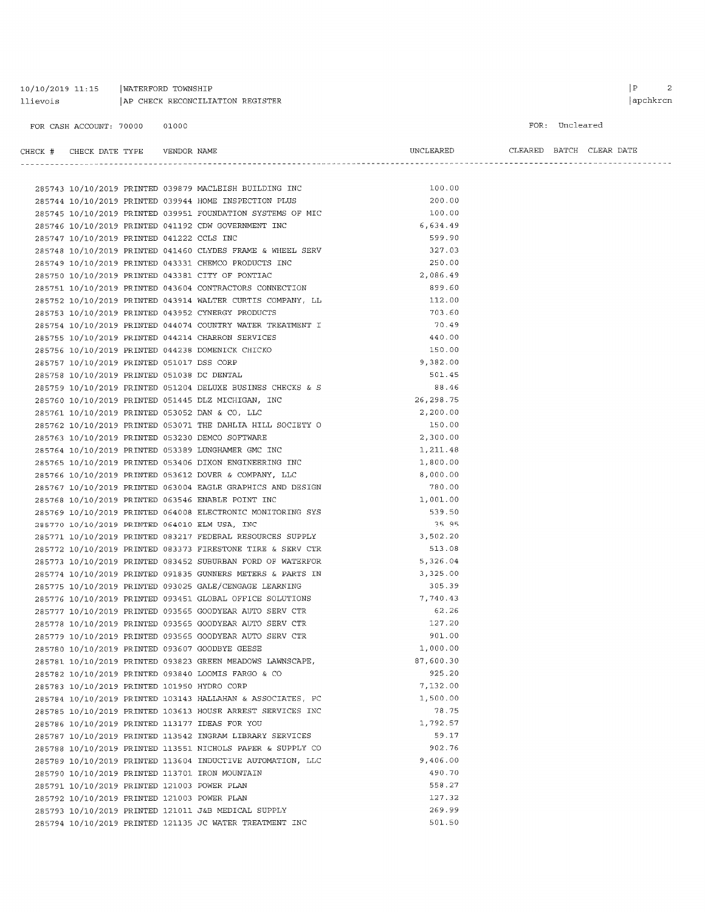# $10/10/2019$  11:15 | WATERFORD TOWNSHIP 11 ievois | AP CHECK RECONCILIATION REGISTER

FOR CASH ACCOUNT: 70000 01000

FOR: Uncleared

#### $\begin{tabular}{lllllll} \bf CHECK & \tt H & \tt CHECK & \tt DATE & \tt YYPE & \tt VENDOR & \tt NAME \end{tabular}$

| UNCLEARED |  | CLEARED BATCH CLEAR DATE |  |
|-----------|--|--------------------------|--|
|           |  |                          |  |

|                                             |  | 285743 10/10/2019 PRINTED 039879 MACLEISH BUILDING INC     | 100.00     |
|---------------------------------------------|--|------------------------------------------------------------|------------|
|                                             |  | 285744 10/10/2019 PRINTED 039944 HOME INSPECTION PLUS      | 200.00     |
|                                             |  | 285745 10/10/2019 PRINTED 039951 FOUNDATION SYSTEMS OF MIC | 100.00     |
|                                             |  | 285746 10/10/2019 PRINTED 041192 CDW GOVERNMENT INC        | 6,634.49   |
| 285747 10/10/2019 PRINTED 041222 CCLS INC   |  |                                                            | 599.90     |
|                                             |  | 285748 10/10/2019 PRINTED 041460 CLYDES FRAME & WHEEL SERV | 327.03     |
|                                             |  | 285749 10/10/2019 PRINTED 043331 CHEMCO PRODUCTS INC       | 250.00     |
|                                             |  | 285750 10/10/2019 PRINTED 043381 CITY OF PONTIAC           | 2,086.49   |
|                                             |  | 285751 10/10/2019 PRINTED 043604 CONTRACTORS CONNECTION    | 899.60     |
|                                             |  | 285752 10/10/2019 PRINTED 043914 WALTER CURTIS COMPANY, LL | 112.00     |
|                                             |  | 285753 10/10/2019 PRINTED 043952 CYNERGY PRODUCTS          | 703.60     |
|                                             |  | 285754 10/10/2019 PRINTED 044074 COUNTRY WATER TREATMENT I | 70.49      |
|                                             |  | 285755 10/10/2019 PRINTED 044214 CHARRON SERVICES          | 440.00     |
|                                             |  | 285756 10/10/2019 PRINTED 044238 DOMENICK CHICKO           | 150.00     |
| 285757 10/10/2019 PRINTED 051017 DSS CORP   |  |                                                            | 9,382.00   |
| 285758 10/10/2019 PRINTED 051038 DC DENTAL  |  |                                                            | 501.45     |
|                                             |  | 285759 10/10/2019 PRINTED 051204 DELUXE BUSINES CHECKS & S | 88.46      |
|                                             |  | 285760 10/10/2019 PRINTED 051445 DLZ MICHIGAN, INC         | 26, 298.75 |
|                                             |  | 285761 10/10/2019 PRINTED 053052 DAN & CO, LLC             | 2,200.00   |
|                                             |  | 285762 10/10/2019 PRINTED 053071 THE DAHLIA HILL SOCIETY O | 150.00     |
|                                             |  | 285763 10/10/2019 PRINTED 053230 DEMCO SOFTWARE            | 2,300.00   |
|                                             |  | 285764 10/10/2019 PRINTED 053389 LUNGHAMER GMC INC         | 1,211.48   |
|                                             |  | 285765 10/10/2019 PRINTED 053406 DIXON ENGINEERING INC     | 1,800.00   |
|                                             |  | 285766 10/10/2019 PRINTED 053612 DOVER & COMPANY, LLC      | 8,000.00   |
|                                             |  | 285767 10/10/2019 PRINTED 063004 EAGLE GRAPHICS AND DESIGN | 780.00     |
|                                             |  | 285768 10/10/2019 PRINTED 063546 ENABLE POINT INC          | 1,001.00   |
|                                             |  | 285769 10/10/2019 PRINTED 064008 ELECTRONIC MONITORING SYS | 539.50     |
|                                             |  | 285770 10/10/2019 PRINTED 064010 ELM USA, INC              | 35.95      |
|                                             |  | 285771 10/10/2019 PRINTED 083217 FEDERAL RESOURCES SUPPLY  | 3,502.20   |
|                                             |  | 285772 10/10/2019 PRINTED 083373 FIRESTONE TIRE & SERV CTR | 513.08     |
|                                             |  | 285773 10/10/2019 PRINTED 083452 SUBURBAN FORD OF WATERFOR | 5,326.04   |
|                                             |  | 285774 10/10/2019 PRINTED 091835 GUNNERS METERS & PARTS IN | 3,325.00   |
|                                             |  | 285775 10/10/2019 PRINTED 093025 GALE/CENGAGE LEARNING     | 305.39     |
|                                             |  | 285776 10/10/2019 PRINTED 093451 GLOBAL OFFICE SOLUTIONS   | 7,740.43   |
|                                             |  | 285777 10/10/2019 PRINTED 093565 GOODYEAR AUTO SERV CTR    | 62.26      |
|                                             |  | 285778 10/10/2019 PRINTED 093565 GOODYEAR AUTO SERV CTR    | 127.20     |
|                                             |  | 285779 10/10/2019 PRINTED 093565 GOODYEAR AUTO SERV CTR    | 901.00     |
|                                             |  | 285780 10/10/2019 PRINTED 093607 GOODBYE GEESE             | 1,000.00   |
|                                             |  | 285781 10/10/2019 PRINTED 093823 GREEN MEADOWS LAWNSCAPE,  | 87,600.30  |
|                                             |  | 285782 10/10/2019 PRINTED 093840 LOOMIS FARGO & CO         | 925.20     |
| 285783 10/10/2019 PRINTED 101950 HYDRO CORP |  |                                                            | 7,132.00   |
|                                             |  | 285784 10/10/2019 PRINTED 103143 HALLAHAN & ASSOCIATES, PC | 1,500.00   |
|                                             |  | 285785 10/10/2019 PRINTED 103613 HOUSE ARREST SERVICES INC | 78.75      |
|                                             |  | 285786 10/10/2019 PRINTED 113177 IDEAS FOR YOU             | 1,792.57   |
|                                             |  | 285787 10/10/2019 PRINTED 113542 INGRAM LIBRARY SERVICES   | 59.17      |
|                                             |  | 285788 10/10/2019 PRINTED 113551 NICHOLS PAPER & SUPPLY CO | 902.76     |
|                                             |  | 285789 10/10/2019 PRINTED 113604 INDUCTIVE AUTOMATION, LLC | 9,406.00   |
|                                             |  | 285790 10/10/2019 PRINTED 113701 IRON MOUNTAIN             | 490.70     |
| 285791 10/10/2019 PRINTED 121003 POWER PLAN |  |                                                            | 558.27     |
| 285792 10/10/2019 PRINTED 121003 POWER PLAN |  |                                                            | 127.32     |
|                                             |  | 285793 10/10/2019 PRINTED 121011 J&B MEDICAL SUPPLY        | 269.99     |
|                                             |  | 285794 10/10/2019 PRINTED 121135 JC WATER TREATMENT INC    | 501.50     |
|                                             |  |                                                            |            |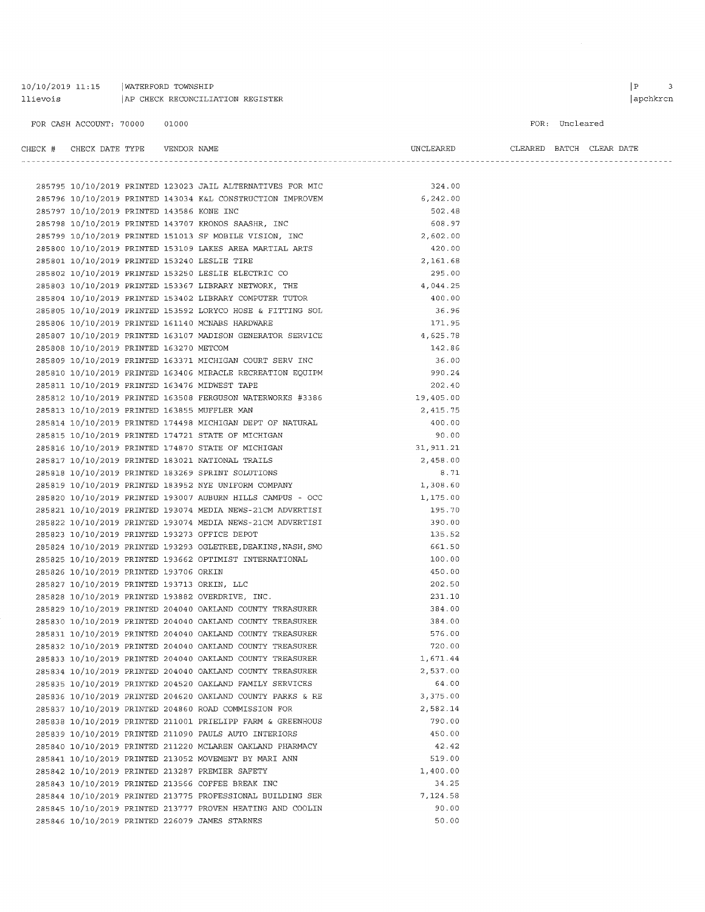$10/10/2019$  11:15 | WATERFORD TOWNSHIP llievois | AP CHECK RECONCILIATION REGISTER

#### FOR CASH ACCOUNT: 70000 01000

|                                           |  |                                                                           | UNCLEARED |  | CLEARED BATCH CLEAR DATE |  |
|-------------------------------------------|--|---------------------------------------------------------------------------|-----------|--|--------------------------|--|
|                                           |  |                                                                           |           |  |                          |  |
|                                           |  | 285795 10/10/2019 PRINTED 123023 JAIL ALTERNATIVES FOR MIC                | 324.00    |  |                          |  |
|                                           |  | 285796 10/10/2019 PRINTED 143034 K&L CONSTRUCTION IMPROVEM                | 6, 242.00 |  |                          |  |
| 285797 10/10/2019 PRINTED 143586 KONE INC |  |                                                                           | 502.48    |  |                          |  |
|                                           |  | 285798 10/10/2019 PRINTED 143707 KRONOS SAASHR, INC                       | 608.97    |  |                          |  |
|                                           |  | 285799 10/10/2019 PRINTED 151013 SF MOBILE VISION, INC                    | 2,602.00  |  |                          |  |
|                                           |  | 285800 10/10/2019 PRINTED 153109 LAKES AREA MARTIAL ARTS                  | 420.00    |  |                          |  |
|                                           |  | 285801 10/10/2019 PRINTED 153240 LESLIE TIRE                              | 2,161.68  |  |                          |  |
|                                           |  | 285802 10/10/2019 PRINTED 153250 LESLIE ELECTRIC CO                       | 295.00    |  |                          |  |
|                                           |  | 285803 10/10/2019 PRINTED 153367 LIBRARY NETWORK, THE                     | 4,044.25  |  |                          |  |
|                                           |  | 285804 10/10/2019 PRINTED 153402 LIBRARY COMPUTER TUTOR                   | 400.00    |  |                          |  |
|                                           |  | 285805 10/10/2019 PRINTED 153592 LORYCO HOSE & FITTING SOL                | 36.96     |  |                          |  |
|                                           |  | 285806 10/10/2019 PRINTED 161140 MCNABS HARDWARE                          | 171.95    |  |                          |  |
|                                           |  | 285807 10/10/2019 PRINTED 163107 MADISON GENERATOR SERVICE                | 4,625.78  |  |                          |  |
| 285808 10/10/2019 PRINTED 163270 METCOM   |  |                                                                           | 142.86    |  |                          |  |
|                                           |  | 285809 10/10/2019 PRINTED 163371 MICHIGAN COURT SERV INC                  | 36.00     |  |                          |  |
|                                           |  | 285810 10/10/2019 PRINTED 163406 MIRACLE RECREATION EQUIPM                | 990.24    |  |                          |  |
|                                           |  | 285811 10/10/2019 PRINTED 163476 MIDWEST TAPE                             | 202.40    |  |                          |  |
|                                           |  | 285812 10/10/2019 PRINTED 163508 FERGUSON WATERWORKS #3386 1997 19,405.00 |           |  |                          |  |
|                                           |  | 285813 10/10/2019 PRINTED 163855 MUFFLER MAN                              | 2,415.75  |  |                          |  |
|                                           |  | 285814 10/10/2019 PRINTED 174498 MICHIGAN DEPT OF NATURAL                 | 400.00    |  |                          |  |
|                                           |  | 285815 10/10/2019 PRINTED 174721 STATE OF MICHIGAN                        | 90.00     |  |                          |  |

|  |                                        | 20JOIJ IV/IV/20IJ FRINIBD I/T/21 DIAIB OF PECHICAN            |            |
|--|----------------------------------------|---------------------------------------------------------------|------------|
|  |                                        | 285816 10/10/2019 PRINTED 174870 STATE OF MICHIGAN            | 31, 911.21 |
|  |                                        | 285817 10/10/2019 PRINTED 183021 NATIONAL TRAILS              | 2,458.00   |
|  |                                        | 285818 10/10/2019 PRINTED 183269 SPRINT SOLUTIONS             | 8.71       |
|  |                                        | 285819 10/10/2019 PRINTED 183952 NYE UNIFORM COMPANY          | 1,308.60   |
|  |                                        | 285820 10/10/2019 PRINTED 193007 AUBURN HILLS CAMPUS - OCC    | 1,175.00   |
|  |                                        | 285821 10/10/2019 PRINTED 193074 MEDIA NEWS-21CM ADVERTISI    | 195.70     |
|  |                                        | 285822 10/10/2019 PRINTED 193074 MEDIA NEWS-21CM ADVERTISI    | 390.00     |
|  |                                        | 285823 10/10/2019 PRINTED 193273 OFFICE DEPOT                 | 135.52     |
|  |                                        | 285824 10/10/2019 PRINTED 193293 OGLETREE, DEAKINS, NASH, SMO | 661.50     |
|  |                                        | 285825 10/10/2019 PRINTED 193662 OPTIMIST INTERNATIONAL       | 100.00     |
|  | 285826 10/10/2019 PRINTED 193706 ORKIN |                                                               | 450.00     |
|  |                                        | 285827 10/10/2019 PRINTED 193713 ORKIN, LLC                   | 202.50     |
|  |                                        | 285828 10/10/2019 PRINTED 193882 OVERDRIVE, INC.              | 231.10     |
|  |                                        | 285829 10/10/2019 PRINTED 204040 OAKLAND COUNTY TREASURER     | 384.00     |
|  |                                        | 285830 10/10/2019 PRINTED 204040 OAKLAND COUNTY TREASURER     | 384.00     |
|  |                                        | 285831 10/10/2019 PRINTED 204040 OAKLAND COUNTY TREASURER     | 576.00     |
|  |                                        | 285832 10/10/2019 PRINTED 204040 OAKLAND COUNTY TREASURER     | 720.00     |
|  |                                        | 285833 10/10/2019 PRINTED 204040 OAKLAND COUNTY TREASURER     | 1,671.44   |
|  |                                        | 285834 10/10/2019 PRINTED 204040 OAKLAND COUNTY TREASURER     | 2,537.00   |
|  |                                        | 285835 10/10/2019 PRINTED 204520 OAKLAND FAMILY SERVICES      | 64.00      |
|  |                                        | 285836 10/10/2019 PRINTED 204620 OAKLAND COUNTY PARKS & RE    | 3,375.00   |
|  |                                        | 285837 10/10/2019 PRINTED 204860 ROAD COMMISSION FOR          | 2,582.14   |
|  |                                        | 285838 10/10/2019 PRINTED 211001 PRIELIPP FARM & GREENHOUS    | 790.00     |
|  |                                        | 285839 10/10/2019 PRINTED 211090 PAULS AUTO INTERIORS         | 450.00     |
|  |                                        | 285840 10/10/2019 PRINTED 211220 MCLAREN OAKLAND PHARMACY     | 42.42      |
|  |                                        | 285841 10/10/2019 PRINTED 213052 MOVEMENT BY MARI ANN         | 519.00     |
|  |                                        | 285842 10/10/2019 PRINTED 213287 PREMIER SAFETY               | 1,400.00   |
|  |                                        | 285843 10/10/2019 PRINTED 213566 COFFEE BREAK INC             | 34.25      |
|  |                                        | 285844 10/10/2019 PRINTED 213775 PROFESSIONAL BUILDING SER    | 7,124.58   |
|  |                                        | 285845 10/10/2019 PRINTED 213777 PROVEN HEATING AND COOLIN    | 90.00      |
|  |                                        | 285846 10/10/2019 PRINTED 226079 JAMES STARNES                | 50.00      |
|  |                                        |                                                               |            |

apchkrcn

 $\begin{array}{ccc} \mid P & \quad & 3 \end{array}$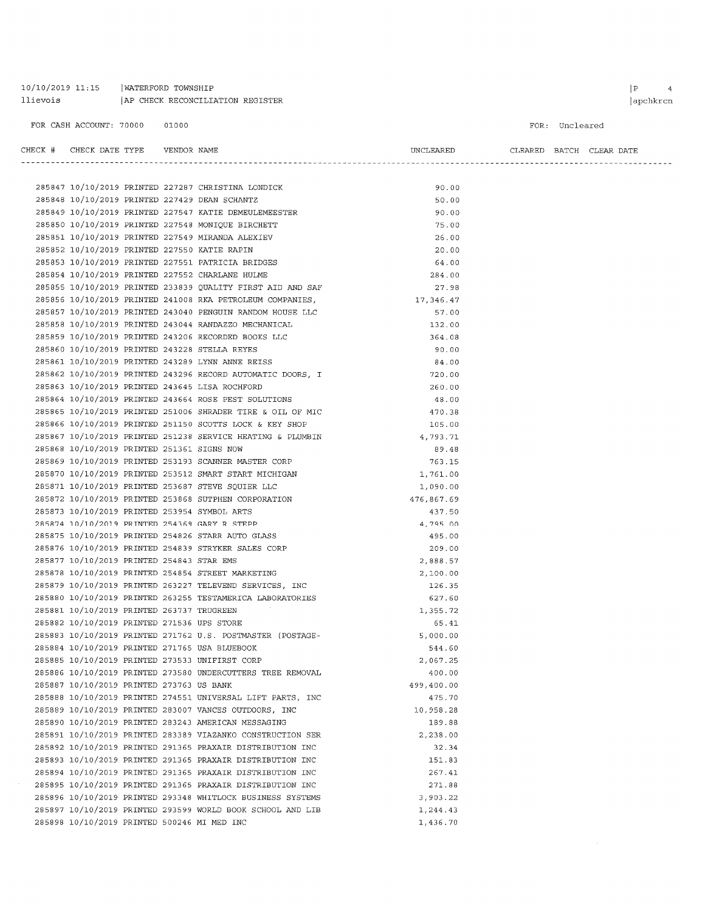| 10/10/2019 11:15 | WATERFORD TOWNSHIP               |  |
|------------------|----------------------------------|--|
| llievois         | AP CHECK RECONCILIATION REGISTER |  |

#### FOR CASH ACCOUNT: 70000 01000

 $\begin{array}{ccc} \mid & \mathbf{P} & \mathbf{4} \end{array}$  $|apchkrcn$ 

#### FOR: Uncleared

| CHECK | CHECK DATE TYPE | VENDOR NAME | UNCLEARED |
|-------|-----------------|-------------|-----------|

CLEARED BATCH CLEAR DATE 

|                                             |  | 285847 10/10/2019 PRINTED 227287 CHRISTINA LONDICK                                               | 90.00          |
|---------------------------------------------|--|--------------------------------------------------------------------------------------------------|----------------|
|                                             |  | 285848 10/10/2019 PRINTED 227429 DEAN SCHANTZ                                                    | 50.00          |
|                                             |  | 285849 10/10/2019 PRINTED 227547 KATIE DEMEULEMEESTER                                            |                |
|                                             |  |                                                                                                  | 90.00          |
|                                             |  | 285850 10/10/2019 PRINTED 227548 MONIQUE BIRCHETT                                                | 75.00<br>26.00 |
|                                             |  | 285851 10/10/2019 PRINTED 227549 MIRANDA ALEXIEV<br>285852 10/10/2019 PRINTED 227550 KATIE RAPIN |                |
|                                             |  |                                                                                                  | 20.00          |
|                                             |  | 285853 10/10/2019 PRINTED 227551 PATRICIA BRIDGES                                                | 64.00          |
|                                             |  | 285854 10/10/2019 PRINTED 227552 CHARLANE HULME                                                  | 284.00         |
|                                             |  | 285855 10/10/2019 PRINTED 233839 QUALITY FIRST AID AND SAF                                       | 27.98          |
|                                             |  | 285856 10/10/2019 PRINTED 241008 RKA PETROLEUM COMPANIES,                                        | 17, 346.47     |
|                                             |  | 285857 10/10/2019 PRINTED 243040 PENGUIN RANDOM HOUSE LLC                                        | 57.00          |
|                                             |  | 285858 10/10/2019 PRINTED 243044 RANDAZZO MECHANICAL                                             | 132.00         |
|                                             |  | 285859 10/10/2019 PRINTED 243206 RECORDED BOOKS LLC                                              | 364.08         |
|                                             |  | 285860 10/10/2019 PRINTED 243228 STELLA REYES                                                    | 90.00          |
|                                             |  | 285861 10/10/2019 PRINTED 243289 LYNN ANNE REISS                                                 | 84.00          |
|                                             |  | 285862 10/10/2019 PRINTED 243296 RECORD AUTOMATIC DOORS, I                                       | 720.00         |
|                                             |  | 285863 10/10/2019 PRINTED 243645 LISA ROCHFORD                                                   | 260.00         |
|                                             |  | 285864 10/10/2019 PRINTED 243664 ROSE PEST SOLUTIONS                                             | 48.00          |
|                                             |  | 285865 10/10/2019 PRINTED 251006 SHRADER TIRE & OIL OF MIC                                       | 470.38         |
|                                             |  | 285866 10/10/2019 PRINTED 251150 SCOTTS LOCK & KEY SHOP                                          | 105.00         |
|                                             |  | 285867 10/10/2019 PRINTED 251238 SERVICE HEATING & PLUMBIN                                       | 4,793.71       |
| 285868 10/10/2019 PRINTED 251361 SIGNS NOW  |  |                                                                                                  | 89.48          |
|                                             |  | 285869 10/10/2019 PRINTED 253193 SCANNER MASTER CORP                                             | 763.15         |
|                                             |  | 285870 10/10/2019 PRINTED 253512 SMART START MICHIGAN                                            | 1,761.00       |
|                                             |  | 285871 10/10/2019 PRINTED 253687 STEVE SQUIER LLC                                                | 1,090.00       |
|                                             |  | 285872 10/10/2019 PRINTED 253868 SUTPHEN CORPORATION                                             | 476,867.69     |
|                                             |  | 285873 10/10/2019 PRINTED 253954 SYMBOL ARTS                                                     | 437.50         |
|                                             |  | 285874 10/10/2019 PRINTED 254369 GARY R STEPP                                                    | 4,795.00       |
|                                             |  | 285875 10/10/2019 PRINTED 254826 STARR AUTO GLASS                                                | 495.00         |
|                                             |  | 285876 10/10/2019 PRINTED 254839 STRYKER SALES CORP                                              | 209.00         |
| 285877 10/10/2019 PRINTED 254843 STAR EMS   |  |                                                                                                  | 2,888.57       |
|                                             |  | 285878 10/10/2019 PRINTED 254854 STREET MARKETING                                                | 2,100.00       |
|                                             |  | 285879 10/10/2019 PRINTED 263227 TELEVEND SERVICES, INC                                          | 126.35         |
|                                             |  | 285880 10/10/2019 PRINTED 263255 TESTAMERICA LABORATORIES                                        | 627.60         |
| 285881 10/10/2019 PRINTED 263737 TRUGREEN   |  |                                                                                                  | 1,355.72       |
| 285882 10/10/2019 PRINTED 271536 UPS STORE  |  |                                                                                                  | 65.41          |
|                                             |  | 285883 10/10/2019 PRINTED 271762 U.S. POSTMASTER (POSTAGE-                                       | 5,000.00       |
|                                             |  | 285884 10/10/2019 PRINTED 271765 USA BLUEBOOK                                                    | 544.60         |
|                                             |  | 285885 10/10/2019 PRINTED 273533 UNIFIRST CORP                                                   | 2,067.25       |
|                                             |  | 285886 10/10/2019 PRINTED 273580 UNDERCUTTERS TREE REMOVAL                                       | 400.00         |
| 285887 10/10/2019 PRINTED 273763 US BANK    |  |                                                                                                  | 499,400.00     |
|                                             |  |                                                                                                  |                |
|                                             |  | 285888 10/10/2019 PRINTED 274551 UNIVERSAL LIFT PARTS, INC                                       | 475.70         |
|                                             |  | 285889 10/10/2019 PRINTED 283007 VANCES OUTDOORS, INC                                            | 10,958.28      |
|                                             |  | 285890 10/10/2019 PRINTED 283243 AMERICAN MESSAGING                                              | 189.88         |
|                                             |  | 285891 10/10/2019 PRINTED 283389 VIAZANKO CONSTRUCTION SER                                       | 2,238.00       |
|                                             |  | 285892 10/10/2019 PRINTED 291365 PRAXAIR DISTRIBUTION INC                                        | 32.34          |
|                                             |  | 285893 10/10/2019 PRINTED 291365 PRAXAIR DISTRIBUTION INC                                        | 151.83         |
|                                             |  | 285894 10/10/2019 PRINTED 291365 PRAXAIR DISTRIBUTION INC                                        | 267.41         |
|                                             |  | 285895 10/10/2019 PRINTED 291365 PRAXAIR DISTRIBUTION INC                                        | 271.88         |
|                                             |  | 285896 10/10/2019 PRINTED 293348 WHITLOCK BUSINESS SYSTEMS                                       | 3,903.22       |
|                                             |  | 285897 10/10/2019 PRINTED 293599 WORLD BOOK SCHOOL AND LIB                                       | 1,244.43       |
| 285898 10/10/2019 PRINTED 500246 MI MED INC |  |                                                                                                  | 1,436.70       |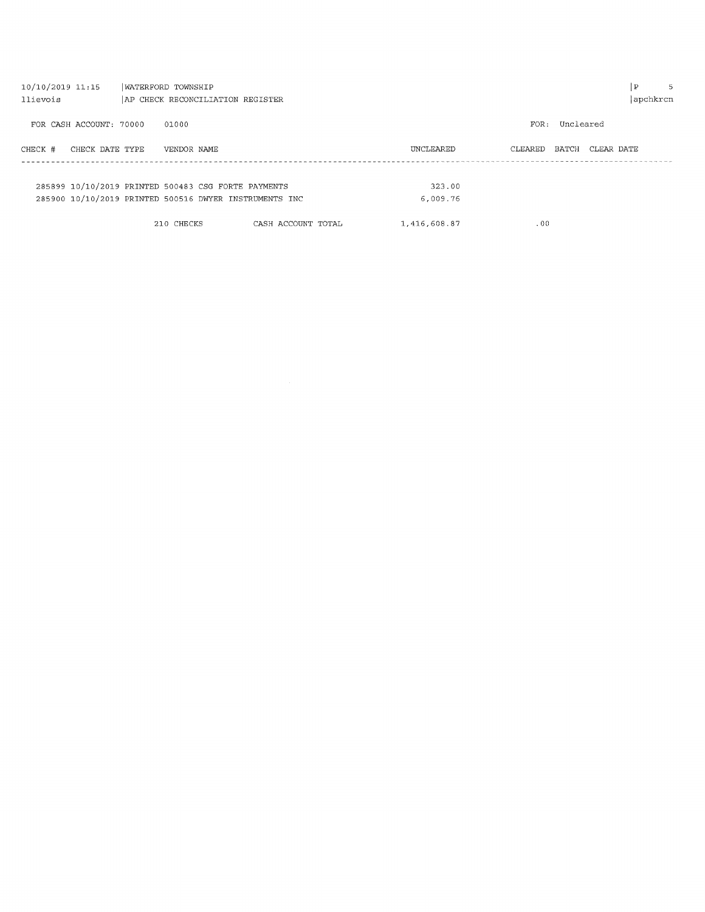| $10/10/2019$ $11:15$<br>WATERFORD TOWNSHIP             |  |             |                    |  |              |         |           | P          | 5.       |  |
|--------------------------------------------------------|--|-------------|--------------------|--|--------------|---------|-----------|------------|----------|--|
| llievois<br>AP CHECK RECONCILIATION REGISTER           |  |             |                    |  |              |         |           |            | apchkrcn |  |
|                                                        |  |             |                    |  |              |         |           |            |          |  |
| FOR CASH ACCOUNT: 70000                                |  | 01000       |                    |  |              | FOR:    | Uncleared |            |          |  |
|                                                        |  |             |                    |  |              |         |           |            |          |  |
| CHECK DATE TYPE<br>CHECK #                             |  | VENDOR NAME |                    |  | UNCLEARED    | CLEARED | BATCH     | CLEAR DATE |          |  |
|                                                        |  |             |                    |  |              |         |           |            |          |  |
|                                                        |  |             |                    |  |              |         |           |            |          |  |
| 285899 10/10/2019 PRINTED 500483 CSG FORTE PAYMENTS    |  |             |                    |  | 323.00       |         |           |            |          |  |
| 285900 10/10/2019 PRINTED 500516 DWYER INSTRUMENTS INC |  |             |                    |  | 6,009.76     |         |           |            |          |  |
|                                                        |  |             |                    |  |              |         |           |            |          |  |
|                                                        |  |             |                    |  |              |         |           |            |          |  |
|                                                        |  | 210 CHECKS  | CASH ACCOUNT TOTAL |  | 1,416,608.87 | .00     |           |            |          |  |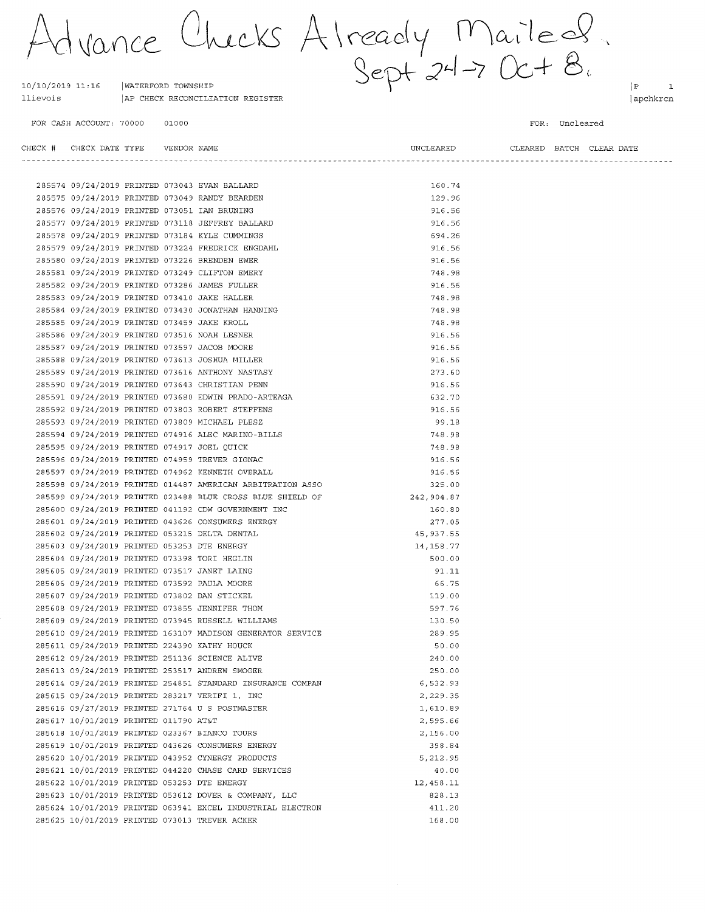Advance Checks Already Mailed.

| $10/10/2019$ 11:16 |  | WATERFORD TOWNSHIP               |  |
|--------------------|--|----------------------------------|--|
| llievois           |  | AP CHECK RECONCILIATION REGISTER |  |

 $\mathbf{P}$  $\overline{1}$ apchkrcn

FOR CASH ACCOUNT: 70000 01000 FOR: Uncleared

| CHECK # CHECK DATE TYPE    VENDOR NAME      |  |                                                            | UNCLEARED CLEARED BATCH CLEAR DATE |  |  |
|---------------------------------------------|--|------------------------------------------------------------|------------------------------------|--|--|
|                                             |  |                                                            |                                    |  |  |
|                                             |  | 285574 09/24/2019 PRINTED 073043 EVAN BALLARD              | 160.74                             |  |  |
|                                             |  | 285575 09/24/2019 PRINTED 073049 RANDY BEARDEN             | 129.96                             |  |  |
|                                             |  | 285576 09/24/2019 PRINTED 073051 IAN BRUNING               | 916.56                             |  |  |
|                                             |  | 285577 09/24/2019 PRINTED 073118 JEFFREY BALLARD           | 916.56                             |  |  |
|                                             |  | 285578 09/24/2019 PRINTED 073184 KYLE CUMMINGS             | 694.26                             |  |  |
|                                             |  | 285579 09/24/2019 PRINTED 073224 FREDRICK ENGDAHL          | 916.56                             |  |  |
|                                             |  | 285580 09/24/2019 PRINTED 073226 BRENDEN EWER              | 916.56                             |  |  |
|                                             |  | 285581 09/24/2019 PRINTED 073249 CLIFTON EMERY             | 748.98                             |  |  |
|                                             |  | 285582 09/24/2019 PRINTED 073286 JAMES FULLER              | 916.56                             |  |  |
|                                             |  | 285583 09/24/2019 PRINTED 073410 JAKE HALLER               | 748.98                             |  |  |
|                                             |  | 285584 09/24/2019 PRINTED 073430 JONATHAN HANNING          | 748.98                             |  |  |
| 285585 09/24/2019 PRINTED 073459 JAKE KROLL |  |                                                            | 748.98                             |  |  |
|                                             |  | 285586 09/24/2019 PRINTED 073516 NOAH LESNER               | 916.56                             |  |  |
|                                             |  | 285587 09/24/2019 PRINTED 073597 JACOB MOORE               | 916.56                             |  |  |
|                                             |  | 285588 09/24/2019 PRINTED 073613 JOSHUA MILLER             | 916.56                             |  |  |
|                                             |  | 285589 09/24/2019 PRINTED 073616 ANTHONY NASTASY           | 273.60                             |  |  |
|                                             |  | 285590 09/24/2019 PRINTED 073643 CHRISTIAN PENN            | 916.56                             |  |  |
|                                             |  | 285591 09/24/2019 PRINTED 073680 EDWIN PRADO-ARTEAGA       | 632.70                             |  |  |
|                                             |  | 285592 09/24/2019 PRINTED 073803 ROBERT STEFFENS           |                                    |  |  |
|                                             |  |                                                            | 916.56                             |  |  |
|                                             |  | 285593 09/24/2019 PRINTED 073809 MICHAEL PLESZ             | 99.18                              |  |  |
|                                             |  | 285594 09/24/2019 PRINTED 074916 ALEC MARINO-BILLS         | 748.98                             |  |  |
|                                             |  | 285595 09/24/2019 PRINTED 074917 JOEL QUICK                | 748.98                             |  |  |
|                                             |  | 285596 09/24/2019 PRINTED 074959 TREVER GIGNAC             | 916.56                             |  |  |
|                                             |  | 285597 09/24/2019 PRINTED 074962 KENNETH OVERALL           | 916.56                             |  |  |
|                                             |  | 285598 09/24/2019 PRINTED 014487 AMERICAN ARBITRATION ASSO | 325.00                             |  |  |
|                                             |  | 285599 09/24/2019 PRINTED 023488 BLUE CROSS BLUE SHIELD OF | 242,904.87                         |  |  |
|                                             |  | 285600 09/24/2019 PRINTED 041192 CDW GOVERNMENT INC        | 160.80                             |  |  |
|                                             |  | 285601 09/24/2019 PRINTED 043626 CONSUMERS ENERGY          | 277.05                             |  |  |
|                                             |  | 285602 09/24/2019 PRINTED 053215 DELTA DENTAL              | 45,937.55                          |  |  |
| 285603 09/24/2019 PRINTED 053253 DTE ENERGY |  |                                                            | 14, 158.77                         |  |  |
|                                             |  | 285604 09/24/2019 PRINTED 073398 TORI HEGLIN               | 500.00                             |  |  |
|                                             |  | 285605 09/24/2019 PRINTED 073517 JANET LAING               | 91.11                              |  |  |
|                                             |  | 285606 09/24/2019 PRINTED 073592 PAULA MOORE               | 66.75                              |  |  |
|                                             |  | 285607 09/24/2019 PRINTED 073802 DAN STICKEL               | 119.00                             |  |  |
|                                             |  | 285608 09/24/2019 PRINTED 073855 JENNIFER THOM             | 597.76                             |  |  |
|                                             |  | 285609 09/24/2019 PRINTED 073945 RUSSELL WILLIAMS          | 130.50                             |  |  |
|                                             |  | 285610 09/24/2019 PRINTED 163107 MADISON GENERATOR SERVICE | 289.95                             |  |  |
|                                             |  | 285611 09/24/2019 PRINTED 224390 KATHY HOUCK               | 50.00                              |  |  |
|                                             |  | 285612 09/24/2019 PRINTED 251136 SCIENCE ALIVE             | 240.00                             |  |  |
|                                             |  | 285613 09/24/2019 PRINTED 253517 ANDREW SMOGER             | 250.00                             |  |  |
|                                             |  | 285614 09/24/2019 PRINTED 254851 STANDARD INSURANCE COMPAN | 6,532.93                           |  |  |
|                                             |  | 285615 09/24/2019 PRINTED 283217 VERIFI 1, INC             | 2,229.35                           |  |  |
|                                             |  | 285616 09/27/2019 PRINTED 271764 U S POSTMASTER            | 1,610.89                           |  |  |
| 285617 10/01/2019 PRINTED 011790 AT&T       |  |                                                            | 2,595.66                           |  |  |
|                                             |  | 285618 10/01/2019 PRINTED 023367 BIANCO TOURS              | 2,156.00                           |  |  |
|                                             |  | 285619 10/01/2019 PRINTED 043626 CONSUMERS ENERGY          | 398.84                             |  |  |
|                                             |  | 285620 10/01/2019 PRINTED 043952 CYNERGY PRODUCTS          | 5,212.95                           |  |  |
|                                             |  | 285621 10/01/2019 PRINTED 044220 CHASE CARD SERVICES       | 40.00                              |  |  |
| 285622 10/01/2019 PRINTED 053253 DTE ENERGY |  |                                                            | 12,458.11                          |  |  |
|                                             |  | 285623 10/01/2019 PRINTED 053612 DOVER & COMPANY, LLC      | 828.13                             |  |  |
|                                             |  | 285624 10/01/2019 PRINTED 063941 EXCEL INDUSTRIAL ELECTRON | 411.20                             |  |  |
|                                             |  | 285625 10/01/2019 PRINTED 073013 TREVER ACKER              | 168.00                             |  |  |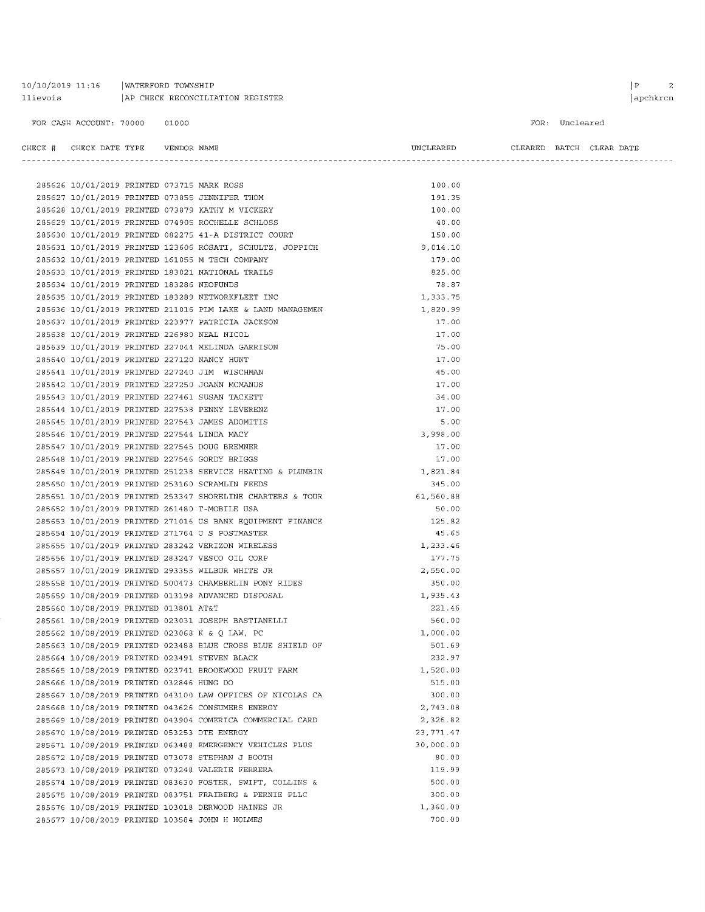#### 10/10/2019 11:16 | WATERFORD TOWNSHIP llievois AP CHECK RECONCILIATION REGISTER

285673 10/08/2019 PRINTED 073248 VALERIE FERRERA

285676 10/08/2019 PRINTED 103018 DERWOOD HAINES JR

285677 10/08/2019 PRINTED 103584 JOHN H HOLMES

285674 10/08/2019 PRINTED 083630 FOSTER, SWIFT, COLLINS &

285675 10/08/2019 PRINTED 083751 FRAIBERG & PERNIE PLLC

#### FOR CASH ACCOUNT: 70000 01000

 $\begin{array}{ccc} \mid P & 2 \end{array}$ 

apchkrcn

# FOR: Uncleared

| CHECK # CHECK DATE TYPE    VENDOR NAME      |  |                                                            | UNCLEARED |  | CLEARED BATCH CLEAR DATE |
|---------------------------------------------|--|------------------------------------------------------------|-----------|--|--------------------------|
|                                             |  |                                                            |           |  |                          |
| 285626 10/01/2019 PRINTED 073715 MARK ROSS  |  |                                                            | 100.00    |  |                          |
|                                             |  | 285627 10/01/2019 PRINTED 073855 JENNIFER THOM             | 191.35    |  |                          |
|                                             |  | 285628 10/01/2019 PRINTED 073879 KATHY M VICKERY           | 100.00    |  |                          |
|                                             |  | 285629 10/01/2019 PRINTED 074905 ROCHELLE SCHLOSS          | 40.00     |  |                          |
|                                             |  | 285630 10/01/2019 PRINTED 082275 41-A DISTRICT COURT       | 150.00    |  |                          |
|                                             |  | 285631 10/01/2019 PRINTED 123606 ROSATI, SCHULTZ, JOPPICH  | 9,014.10  |  |                          |
|                                             |  | 285632 10/01/2019 PRINTED 161055 M TECH COMPANY            | 179.00    |  |                          |
|                                             |  | 285633 10/01/2019 PRINTED 183021 NATIONAL TRAILS           | 825.00    |  |                          |
| 285634 10/01/2019 PRINTED 183286 NEOFUNDS   |  |                                                            | 78.87     |  |                          |
|                                             |  | 285635 10/01/2019 PRINTED 183289 NETWORKFLEET INC          | 1,333.75  |  |                          |
|                                             |  | 285636 10/01/2019 PRINTED 211016 PLM LAKE & LAND MANAGEMEN | 1,820.99  |  |                          |
|                                             |  | 285637 10/01/2019 PRINTED 223977 PATRICIA JACKSON          | 17.00     |  |                          |
| 285638 10/01/2019 PRINTED 226980 NEAL NICOL |  |                                                            | 17.00     |  |                          |
|                                             |  | 285639 10/01/2019 PRINTED 227044 MELINDA GARRISON          | 75.00     |  |                          |
| 285640 10/01/2019 PRINTED 227120 NANCY HUNT |  |                                                            | 17.00     |  |                          |
|                                             |  | 285641 10/01/2019 PRINTED 227240 JIM WISCHMAN              | 45.00     |  |                          |
|                                             |  | 285642 10/01/2019 PRINTED 227250 JOANN MCMANUS             | 17.00     |  |                          |
|                                             |  | 285643 10/01/2019 PRINTED 227461 SUSAN TACKETT             | 34.00     |  |                          |
|                                             |  | 285644 10/01/2019 PRINTED 227538 PENNY LEVERENZ            | 17.00     |  |                          |
|                                             |  | 285645 10/01/2019 PRINTED 227543 JAMES ADOMITIS            | 5.00      |  |                          |
| 285646 10/01/2019 PRINTED 227544 LINDA MACY |  |                                                            | 3,998.00  |  |                          |
|                                             |  | 285647 10/01/2019 PRINTED 227545 DOUG BREMNER              | 17.00     |  |                          |
|                                             |  | 285648 10/01/2019 PRINTED 227546 GORDY BRIGGS              | 17.00     |  |                          |
|                                             |  | 285649 10/01/2019 PRINTED 251238 SERVICE HEATING & PLUMBIN | 1,821.84  |  |                          |
|                                             |  | 285650 10/01/2019 PRINTED 253160 SCRAMLIN FEEDS            | 345.00    |  |                          |
|                                             |  | 285651 10/01/2019 PRINTED 253347 SHORELINE CHARTERS & TOUR | 61,560.88 |  |                          |
|                                             |  | 285652 10/01/2019 PRINTED 261480 T-MOBILE USA              | 50.00     |  |                          |
|                                             |  | 285653 10/01/2019 PRINTED 271016 US BANK EQUIPMENT FINANCE | 125.82    |  |                          |
|                                             |  | 285654 10/01/2019 PRINTED 271764 U S POSTMASTER            | 45.65     |  |                          |
|                                             |  | 285655 10/01/2019 PRINTED 283242 VERIZON WIRELESS          | 1,233.46  |  |                          |
|                                             |  | 285656 10/01/2019 PRINTED 283247 VESCO OIL CORP            | 177.75    |  |                          |
|                                             |  | 285657 10/01/2019 PRINTED 293355 WILBUR WHITE JR           | 2,550.00  |  |                          |
|                                             |  | 285658 10/01/2019 PRINTED 500473 CHAMBERLIN PONY RIDES     | 350.00    |  |                          |
|                                             |  | 285659 10/08/2019 PRINTED 013198 ADVANCED DISPOSAL         | 1,935.43  |  |                          |
| 285660 10/08/2019 PRINTED 013801 AT&T       |  |                                                            | 221.46    |  |                          |
|                                             |  | 285661 10/08/2019 PRINTED 023031 JOSEPH BASTIANELLI        | 560.00    |  |                          |
|                                             |  | 285662 10/08/2019 PRINTED 023068 K & Q LAW, PC             | 1,000.00  |  |                          |
|                                             |  | 285663 10/08/2019 PRINTED 023488 BLUE CROSS BLUE SHIELD OF | 501.69    |  |                          |
|                                             |  | 285664 10/08/2019 PRINTED 023491 STEVEN BLACK              | 232.97    |  |                          |
|                                             |  | 285665 10/08/2019 PRINTED 023741 BROOKWOOD FRUIT FARM      | 1,520.00  |  |                          |
| 285666 10/08/2019 PRINTED 032846 HUNG DO    |  |                                                            | 515.00    |  |                          |
|                                             |  | 285667 10/08/2019 PRINTED 043100 LAW OFFICES OF NICOLAS CA | 300.00    |  |                          |
|                                             |  | 285668 10/08/2019 PRINTED 043626 CONSUMERS ENERGY          | 2,743.08  |  |                          |
|                                             |  | 285669 10/08/2019 PRINTED 043904 COMERICA COMMERCIAL CARD  | 2,326.82  |  |                          |
| 285670 10/08/2019 PRINTED 053253 DTE ENERGY |  |                                                            | 23,771.47 |  |                          |
|                                             |  | 285671 10/08/2019 PRINTED 063488 EMERGENCY VEHICLES PLUS   | 30,000.00 |  |                          |
|                                             |  | 285672 10/08/2019 PRINTED 073078 STEPHAN J BOOTH           | 80.00     |  |                          |

119.99

500.00

300.00

1,360.00 700.00